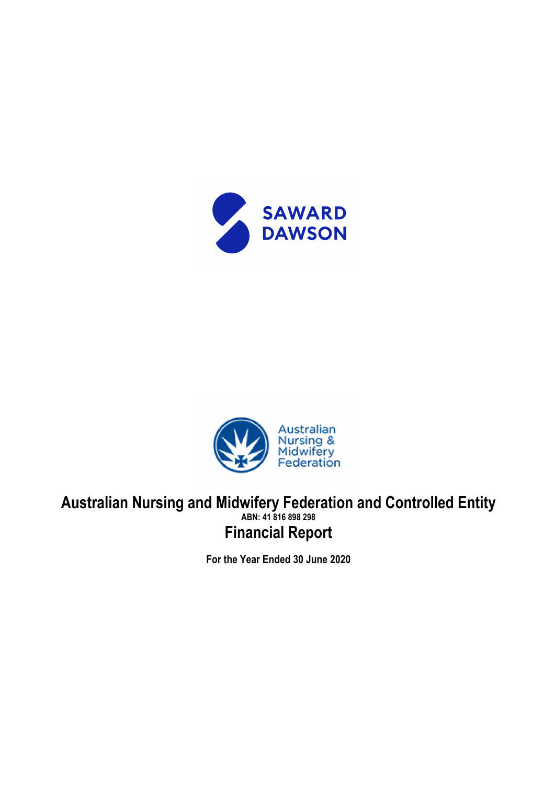



# **Australian Nursing and Midwifery Federation and Controlled Entity ABN: 41 816 898 298 Financial Report**

**For the Year Ended 30 June 2020**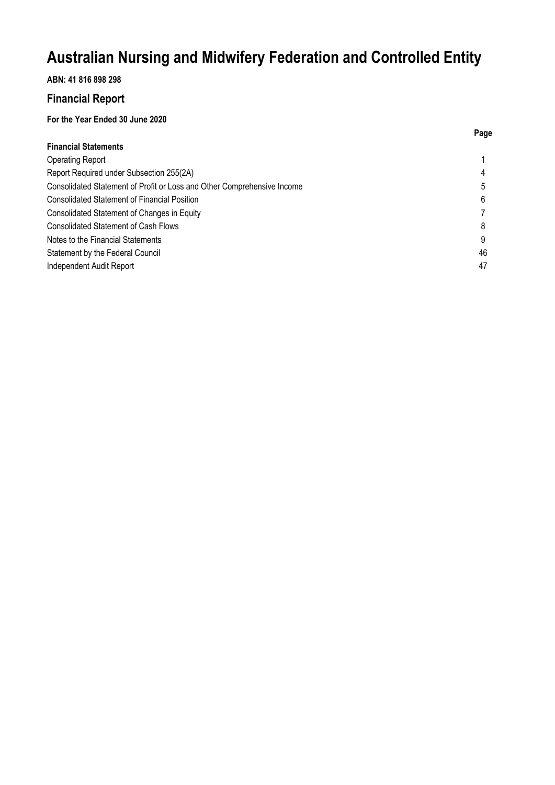## **ABN: 41 816 898 298**

## **Financial Report**

## **For the Year Ended 30 June 2020**

| Page |
|------|
|      |
|      |
|      |
| 5    |
| 6    |
|      |
| 8    |
| 9    |
| 46   |
| 47   |
|      |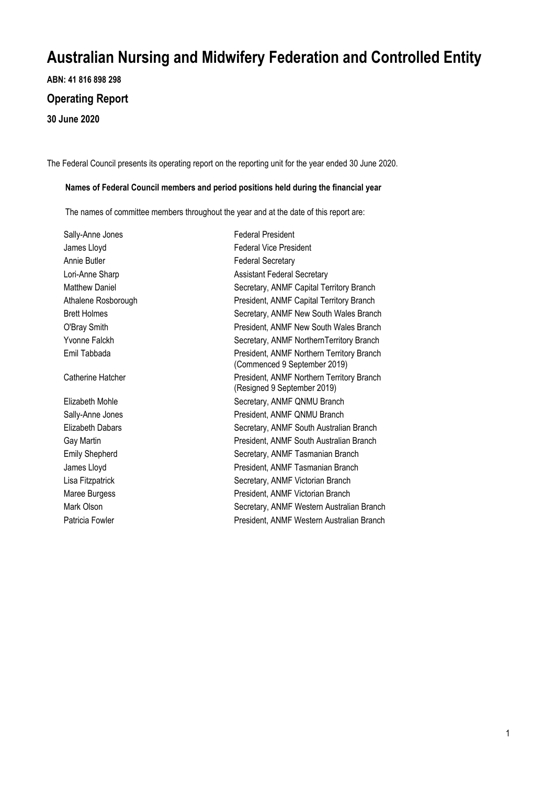**ABN: 41 816 898 298**

## **Operating Report**

**30 June 2020**

The Federal Council presents its operating report on the reporting unit for the year ended 30 June 2020.

#### **Names of Federal Council members and period positions held during the financial year**

The names of committee members throughout the year and at the date of this report are:

| Sally-Anne Jones      | <b>Federal President</b>                                                  |
|-----------------------|---------------------------------------------------------------------------|
| James Lloyd           | <b>Federal Vice President</b>                                             |
| Annie Butler          | <b>Federal Secretary</b>                                                  |
| Lori-Anne Sharp       | <b>Assistant Federal Secretary</b>                                        |
| <b>Matthew Daniel</b> | Secretary, ANMF Capital Territory Branch                                  |
| Athalene Rosborough   | President, ANMF Capital Territory Branch                                  |
| <b>Brett Holmes</b>   | Secretary, ANMF New South Wales Branch                                    |
| O'Bray Smith          | President, ANMF New South Wales Branch                                    |
| Yvonne Falckh         | Secretary, ANMF NorthernTerritory Branch                                  |
| Emil Tabbada          | President, ANMF Northern Territory Branch<br>(Commenced 9 September 2019) |
| Catherine Hatcher     | President, ANMF Northern Territory Branch<br>(Resigned 9 September 2019)  |
| Elizabeth Mohle       | Secretary, ANMF QNMU Branch                                               |
| Sally-Anne Jones      | President, ANMF QNMU Branch                                               |
| Elizabeth Dabars      | Secretary, ANMF South Australian Branch                                   |
| Gay Martin            | President, ANMF South Australian Branch                                   |
| <b>Emily Shepherd</b> | Secretary, ANMF Tasmanian Branch                                          |
| James Lloyd           | President, ANMF Tasmanian Branch                                          |
| Lisa Fitzpatrick      | Secretary, ANMF Victorian Branch                                          |
| Maree Burgess         | President, ANMF Victorian Branch                                          |
| Mark Olson            | Secretary, ANMF Western Australian Branch                                 |
| Patricia Fowler       | President, ANMF Western Australian Branch                                 |
|                       |                                                                           |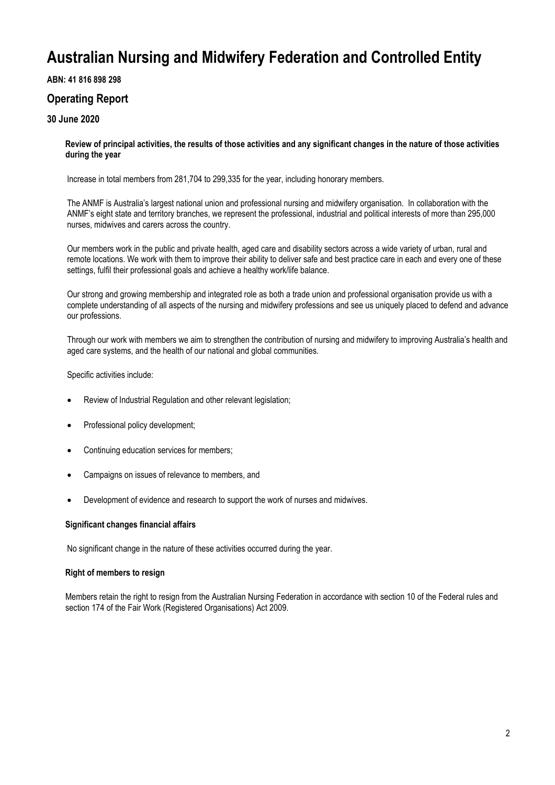### **ABN: 41 816 898 298**

## **Operating Report**

## **30 June 2020**

**Review of principal activities, the results of those activities and any significant changes in the nature of those activities during the year**

Increase in total members from 281,704 to 299,335 for the year, including honorary members.

The ANMF is Australia's largest national union and professional nursing and midwifery organisation. In collaboration with the ANMF's eight state and territory branches, we represent the professional, industrial and political interests of more than 295,000 nurses, midwives and carers across the country.

Our members work in the public and private health, aged care and disability sectors across a wide variety of urban, rural and remote locations. We work with them to improve their ability to deliver safe and best practice care in each and every one of these settings, fulfil their professional goals and achieve a healthy work/life balance.

Our strong and growing membership and integrated role as both a trade union and professional organisation provide us with a complete understanding of all aspects of the nursing and midwifery professions and see us uniquely placed to defend and advance our professions.

Through our work with members we aim to strengthen the contribution of nursing and midwifery to improving Australia's health and aged care systems, and the health of our national and global communities.

Specific activities include:

- Review of Industrial Regulation and other relevant legislation;
- Professional policy development;
- Continuing education services for members;
- Campaigns on issues of relevance to members, and
- Development of evidence and research to support the work of nurses and midwives.

#### **Significant changes financial affairs**

No significant change in the nature of these activities occurred during the year.

#### **Right of members to resign**

Members retain the right to resign from the Australian Nursing Federation in accordance with section 10 of the Federal rules and section 174 of the Fair Work (Registered Organisations) Act 2009.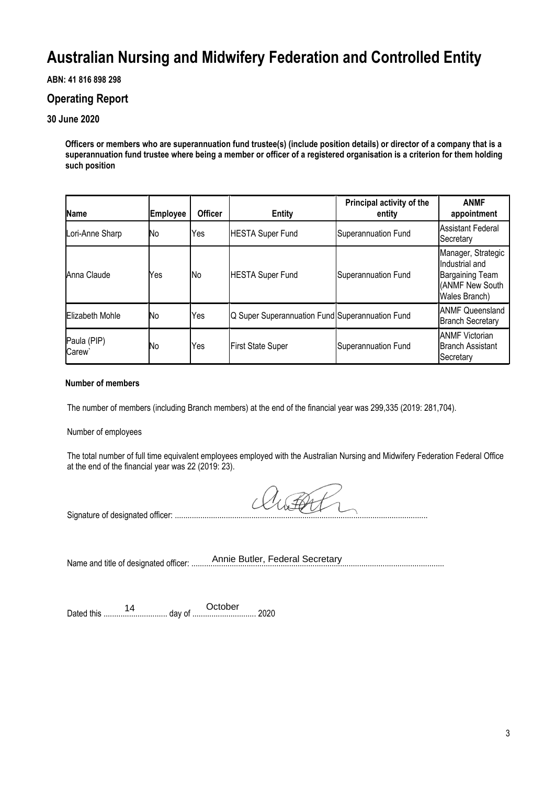## **ABN: 41 816 898 298**

## **Operating Report**

## **30 June 2020**

**Officers or members who are superannuation fund trustee(s) (include position details) or director of a company that is a superannuation fund trustee where being a member or officer of a registered organisation is a criterion for them holding such position**

| Name                              | <b>Employee</b> | <b>Officer</b> | <b>Entity</b>                                   | Principal activity of the<br>entity | <b>ANMF</b><br>appointment                                                                         |
|-----------------------------------|-----------------|----------------|-------------------------------------------------|-------------------------------------|----------------------------------------------------------------------------------------------------|
| Lori-Anne Sharp                   | No              | Yes            | <b>HESTA Super Fund</b>                         | Superannuation Fund                 | <b>Assistant Federal</b><br>Secretary                                                              |
| Anna Claude                       | Yes             | lNo.           | <b>HESTA Super Fund</b>                         | <b>Superannuation Fund</b>          | Manager, Strategic<br>Industrial and<br><b>Bargaining Team</b><br>(ANMF New South<br>Wales Branch) |
| Elizabeth Mohle                   | No              | Yes            | Q Super Superannuation Fund Superannuation Fund |                                     | <b>ANMF Queensland</b><br><b>Branch Secretary</b>                                                  |
| Paula (PIP)<br>Carew <sup>®</sup> | No              | Yes            | <b>First State Super</b>                        | <b>Superannuation Fund</b>          | <b>ANMF</b> Victorian<br><b>Branch Assistant</b><br>Secretary                                      |

### **Number of members**

The number of members (including Branch members) at the end of the financial year was 299,335 (2019: 281,704).

Number of employees

The total number of full time equivalent employees employed with the Australian Nursing and Midwifery Federation Federal Office at the end of the financial year was 22 (2019: 23).

Signature of designated officer: .......................................................................................................................

Name and title of designated officer: ......... Annie Butler, Federal Secretary

Dated this .............................. day of .............................. 2020 14 October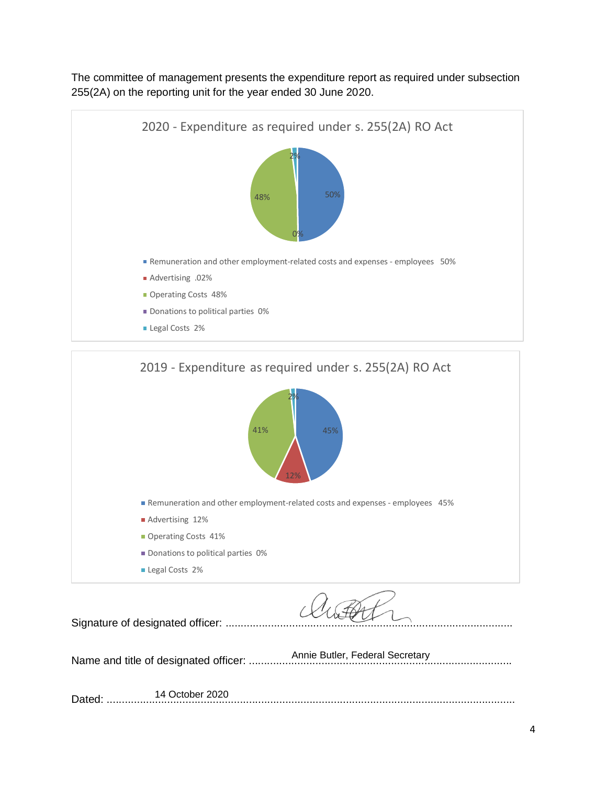The committee of management presents the expenditure report as required under subsection 255(2A) on the reporting unit for the year ended 30 June 2020.





Signature of designated officer: .................... Name and title of designated officer: ....................................................................................... Annie Butler, Federal Secretary Dated: ....................................................................................................................................... 14 October 2020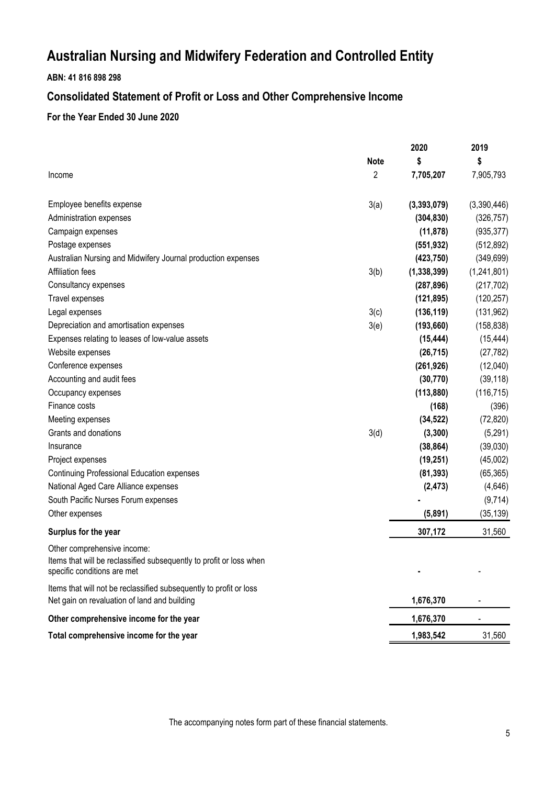## **ABN: 41 816 898 298**

# **Consolidated Statement of Profit or Loss and Other Comprehensive Income**

## **For the Year Ended 30 June 2020**

|                                                                                                                                   |             | 2020          | 2019        |
|-----------------------------------------------------------------------------------------------------------------------------------|-------------|---------------|-------------|
|                                                                                                                                   | <b>Note</b> | \$            | \$          |
| Income                                                                                                                            | 2           | 7,705,207     | 7,905,793   |
| Employee benefits expense                                                                                                         | 3(a)        | (3, 393, 079) | (3,390,446) |
| Administration expenses                                                                                                           |             | (304, 830)    | (326, 757)  |
| Campaign expenses                                                                                                                 |             | (11, 878)     | (935, 377)  |
| Postage expenses                                                                                                                  |             | (551, 932)    | (512, 892)  |
| Australian Nursing and Midwifery Journal production expenses                                                                      |             | (423, 750)    | (349, 699)  |
| Affiliation fees                                                                                                                  | 3(b)        | (1, 338, 399) | (1,241,801) |
| Consultancy expenses                                                                                                              |             | (287, 896)    | (217, 702)  |
| Travel expenses                                                                                                                   |             | (121, 895)    | (120, 257)  |
| Legal expenses                                                                                                                    | 3(c)        | (136, 119)    | (131, 962)  |
| Depreciation and amortisation expenses                                                                                            | 3(e)        | (193, 660)    | (158, 838)  |
| Expenses relating to leases of low-value assets                                                                                   |             | (15, 444)     | (15, 444)   |
| Website expenses                                                                                                                  |             | (26, 715)     | (27, 782)   |
| Conference expenses                                                                                                               |             | (261, 926)    | (12,040)    |
| Accounting and audit fees                                                                                                         |             | (30, 770)     | (39, 118)   |
| Occupancy expenses                                                                                                                |             | (113, 880)    | (116, 715)  |
| Finance costs                                                                                                                     |             | (168)         | (396)       |
| Meeting expenses                                                                                                                  |             | (34, 522)     | (72, 820)   |
| Grants and donations                                                                                                              | 3(d)        | (3, 300)      | (5, 291)    |
| Insurance                                                                                                                         |             | (38, 864)     | (39,030)    |
| Project expenses                                                                                                                  |             | (19, 251)     | (45,002)    |
| Continuing Professional Education expenses                                                                                        |             | (81, 393)     | (65, 365)   |
| National Aged Care Alliance expenses                                                                                              |             | (2, 473)      | (4,646)     |
| South Pacific Nurses Forum expenses                                                                                               |             |               | (9,714)     |
| Other expenses                                                                                                                    |             | (5,891)       | (35, 139)   |
| Surplus for the year                                                                                                              |             | 307,172       | 31,560      |
| Other comprehensive income:<br>Items that will be reclassified subsequently to profit or loss when<br>specific conditions are met |             |               |             |
| Items that will not be reclassified subsequently to profit or loss<br>Net gain on revaluation of land and building                |             | 1,676,370     |             |
| Other comprehensive income for the year                                                                                           |             | 1,676,370     |             |
| Total comprehensive income for the year                                                                                           |             | 1,983,542     | 31,560      |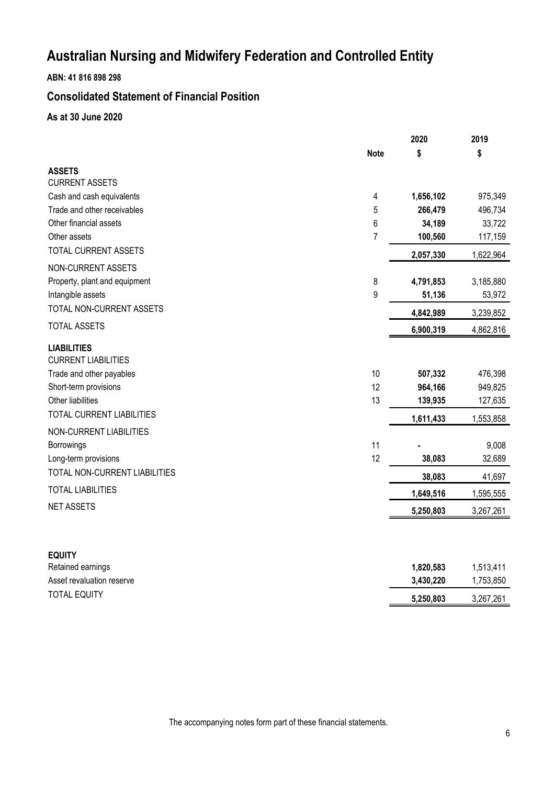**ABN: 41 816 898 298**

# **Consolidated Statement of Financial Position**

**As at 30 June 2020**

|                                                                                                                                                         |                | 2020                          | 2019                          |
|---------------------------------------------------------------------------------------------------------------------------------------------------------|----------------|-------------------------------|-------------------------------|
|                                                                                                                                                         | <b>Note</b>    | \$                            | \$                            |
| <b>ASSETS</b>                                                                                                                                           |                |                               |                               |
| <b>CURRENT ASSETS</b>                                                                                                                                   |                |                               |                               |
| Cash and cash equivalents                                                                                                                               | 4              | 1,656,102                     | 975,349                       |
| Trade and other receivables                                                                                                                             | 5              | 266,479                       | 496,734                       |
| Other financial assets                                                                                                                                  | 6              | 34,189                        | 33,722                        |
| Other assets                                                                                                                                            | $\overline{7}$ | 100,560                       | 117,159                       |
| TOTAL CURRENT ASSETS                                                                                                                                    |                | 2,057,330                     | 1,622,964                     |
| NON-CURRENT ASSETS                                                                                                                                      |                |                               |                               |
| Property, plant and equipment                                                                                                                           | 8              | 4,791,853                     | 3,185,880                     |
| Intangible assets                                                                                                                                       | 9              | 51,136                        | 53,972                        |
| TOTAL NON-CURRENT ASSETS                                                                                                                                |                | 4,842,989                     | 3,239,852                     |
| <b>TOTAL ASSETS</b>                                                                                                                                     |                | 6,900,319                     | 4,862,816                     |
| <b>LIABILITIES</b><br><b>CURRENT LIABILITIES</b><br>Trade and other payables<br>Short-term provisions<br>Other liabilities<br>TOTAL CURRENT LIABILITIES | 10<br>12<br>13 | 507,332<br>964,166<br>139,935 | 476,398<br>949,825<br>127,635 |
|                                                                                                                                                         |                | 1,611,433                     | 1,553,858                     |
| NON-CURRENT LIABILITIES<br>Borrowings<br>Long-term provisions<br>TOTAL NON-CURRENT LIABILITIES                                                          | 11<br>12       | 38,083                        | 9,008<br>32,689               |
| <b>TOTAL LIABILITIES</b>                                                                                                                                |                | 38,083                        | 41,697                        |
| <b>NET ASSETS</b>                                                                                                                                       |                | 1,649,516                     | 1,595,555                     |
|                                                                                                                                                         |                | 5,250,803                     | 3,267,261                     |
| <b>EQUITY</b><br>Retained earnings<br>Asset revaluation reserve                                                                                         |                | 1,820,583<br>3,430,220        | 1,513,411<br>1,753,850        |
| <b>TOTAL EQUITY</b>                                                                                                                                     |                | 5,250,803                     | 3,267,261                     |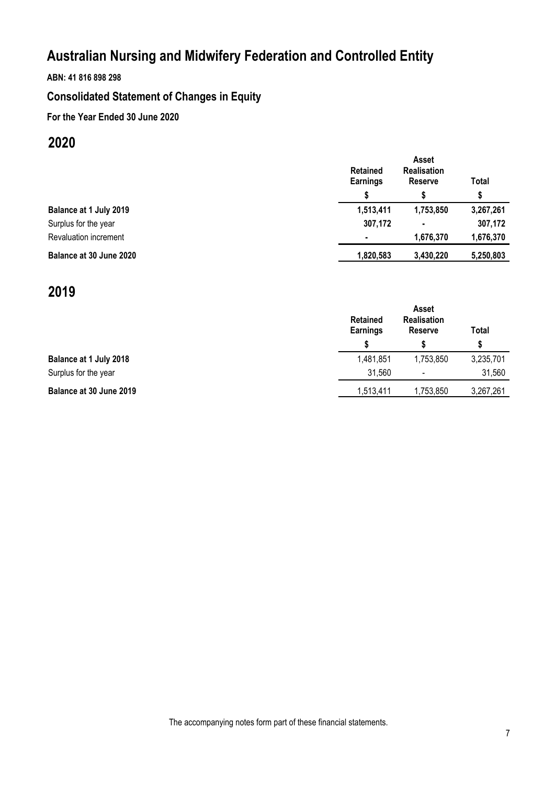## **ABN: 41 816 898 298**

# **Consolidated Statement of Changes in Equity**

## **For the Year Ended 30 June 2020**

# **2020**

|                         | Asset<br><b>Retained</b><br><b>Realisation</b><br>Earnings<br><b>Reserve</b> |           | Total     |
|-------------------------|------------------------------------------------------------------------------|-----------|-----------|
|                         |                                                                              |           | \$        |
| Balance at 1 July 2019  | 1,513,411                                                                    | 1,753,850 | 3,267,261 |
| Surplus for the year    | 307,172                                                                      |           | 307,172   |
| Revaluation increment   | $\blacksquare$                                                               | 1,676,370 | 1,676,370 |
| Balance at 30 June 2020 | 1,820,583                                                                    | 3,430,220 | 5,250,803 |

# **2019**

|                         | <b>Retained</b><br><b>Earnings</b> |                          | Total     |
|-------------------------|------------------------------------|--------------------------|-----------|
|                         |                                    |                          | S         |
| Balance at 1 July 2018  | 1,481,851                          | 1,753,850                | 3,235,701 |
| Surplus for the year    | 31,560                             | $\overline{\phantom{0}}$ | 31,560    |
| Balance at 30 June 2019 | 1,513,411                          | 1,753,850                | 3,267,261 |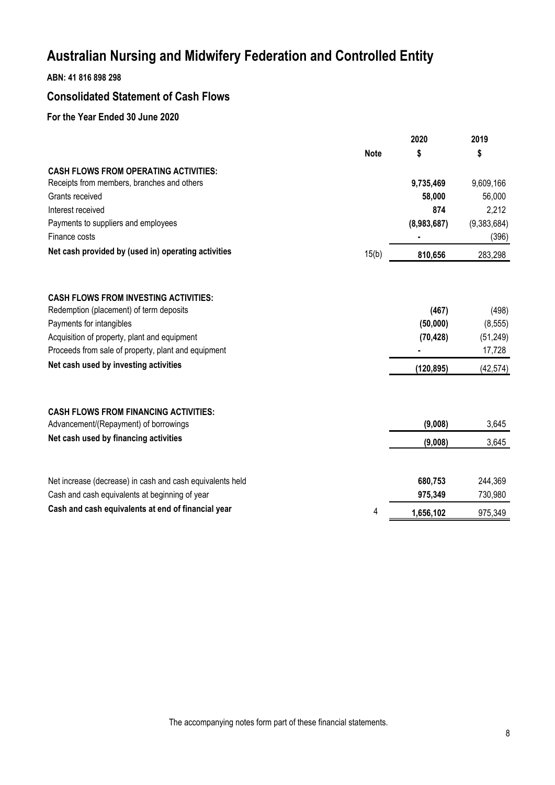## **ABN: 41 816 898 298**

## **Consolidated Statement of Cash Flows**

## **For the Year Ended 30 June 2020**

|                                                           |             | 2020        | 2019        |
|-----------------------------------------------------------|-------------|-------------|-------------|
|                                                           | <b>Note</b> | \$          | \$          |
| <b>CASH FLOWS FROM OPERATING ACTIVITIES:</b>              |             |             |             |
| Receipts from members, branches and others                |             | 9,735,469   | 9,609,166   |
| Grants received                                           |             | 58,000      | 56,000      |
| Interest received                                         |             | 874         | 2,212       |
| Payments to suppliers and employees                       |             | (8,983,687) | (9,383,684) |
| Finance costs                                             |             |             | (396)       |
| Net cash provided by (used in) operating activities       | 15(b)       | 810,656     | 283,298     |
| <b>CASH FLOWS FROM INVESTING ACTIVITIES:</b>              |             |             |             |
| Redemption (placement) of term deposits                   |             | (467)       | (498)       |
| Payments for intangibles                                  |             | (50,000)    | (8, 555)    |
| Acquisition of property, plant and equipment              |             | (70, 428)   | (51, 249)   |
| Proceeds from sale of property, plant and equipment       |             |             | 17,728      |
| Net cash used by investing activities                     |             | (120, 895)  | (42, 574)   |
|                                                           |             |             |             |
| <b>CASH FLOWS FROM FINANCING ACTIVITIES:</b>              |             |             |             |
| Advancement/(Repayment) of borrowings                     |             | (9,008)     | 3,645       |
| Net cash used by financing activities                     |             | (9,008)     | 3,645       |
| Net increase (decrease) in cash and cash equivalents held |             | 680,753     | 244,369     |
| Cash and cash equivalents at beginning of year            |             | 975,349     | 730,980     |
| Cash and cash equivalents at end of financial year        | 4           | 1,656,102   | 975,349     |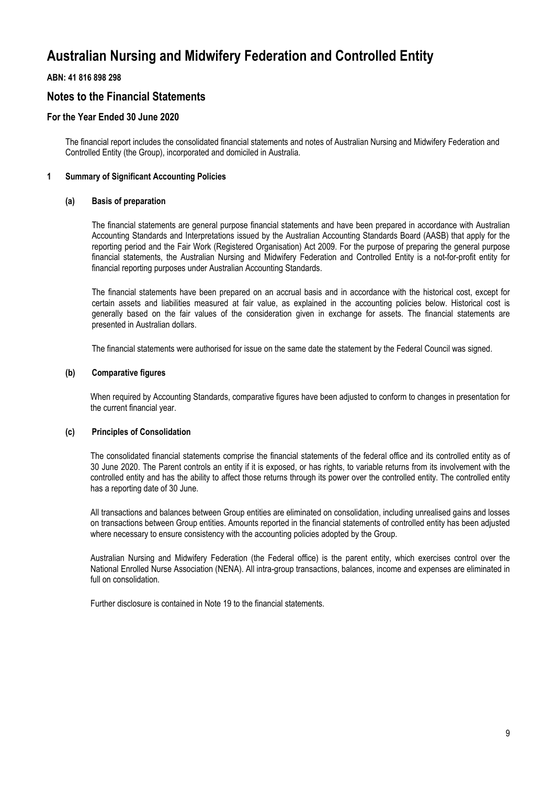## **ABN: 41 816 898 298**

## **Notes to the Financial Statements**

## **For the Year Ended 30 June 2020**

The financial report includes the consolidated financial statements and notes of Australian Nursing and Midwifery Federation and Controlled Entity (the Group), incorporated and domiciled in Australia.

### **1 Summary of Significant Accounting Policies**

#### **(a) Basis of preparation**

The financial statements are general purpose financial statements and have been prepared in accordance with Australian Accounting Standards and Interpretations issued by the Australian Accounting Standards Board (AASB) that apply for the reporting period and the Fair Work (Registered Organisation) Act 2009. For the purpose of preparing the general purpose financial statements, the Australian Nursing and Midwifery Federation and Controlled Entity is a not-for-profit entity for financial reporting purposes under Australian Accounting Standards.

The financial statements have been prepared on an accrual basis and in accordance with the historical cost, except for certain assets and liabilities measured at fair value, as explained in the accounting policies below. Historical cost is generally based on the fair values of the consideration given in exchange for assets. The financial statements are presented in Australian dollars.

The financial statements were authorised for issue on the same date the statement by the Federal Council was signed.

#### **(b) Comparative figures**

When required by Accounting Standards, comparative figures have been adjusted to conform to changes in presentation for the current financial year.

### **(c) Principles of Consolidation**

The consolidated financial statements comprise the financial statements of the federal office and its controlled entity as of 30 June 2020. The Parent controls an entity if it is exposed, or has rights, to variable returns from its involvement with the controlled entity and has the ability to affect those returns through its power over the controlled entity. The controlled entity has a reporting date of 30 June.

All transactions and balances between Group entities are eliminated on consolidation, including unrealised gains and losses on transactions between Group entities. Amounts reported in the financial statements of controlled entity has been adjusted where necessary to ensure consistency with the accounting policies adopted by the Group.

Australian Nursing and Midwifery Federation (the Federal office) is the parent entity, which exercises control over the National Enrolled Nurse Association (NENA). All intra-group transactions, balances, income and expenses are eliminated in full on consolidation

Further disclosure is contained in Note 19 to the financial statements.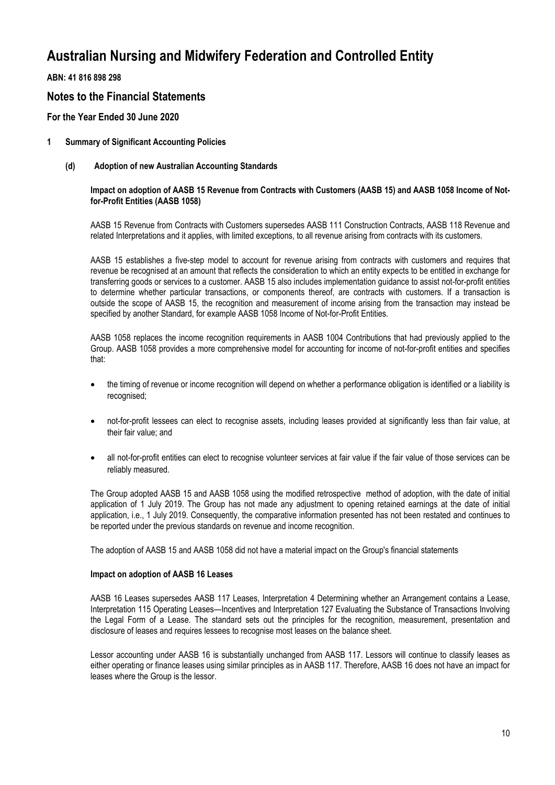**ABN: 41 816 898 298**

## **Notes to the Financial Statements**

## **For the Year Ended 30 June 2020**

### **1 Summary of Significant Accounting Policies**

**(d) Adoption of new Australian Accounting Standards**

#### **Impact on adoption of AASB 15 Revenue from Contracts with Customers (AASB 15) and AASB 1058 Income of Notfor-Profit Entities (AASB 1058)**

AASB 15 Revenue from Contracts with Customers supersedes AASB 111 Construction Contracts, AASB 118 Revenue and related Interpretations and it applies, with limited exceptions, to all revenue arising from contracts with its customers.

AASB 15 establishes a five-step model to account for revenue arising from contracts with customers and requires that revenue be recognised at an amount that reflects the consideration to which an entity expects to be entitled in exchange for transferring goods or services to a customer. AASB 15 also includes implementation guidance to assist not-for-profit entities to determine whether particular transactions, or components thereof, are contracts with customers. If a transaction is outside the scope of AASB 15, the recognition and measurement of income arising from the transaction may instead be specified by another Standard, for example AASB 1058 Income of Not-for-Profit Entities.

AASB 1058 replaces the income recognition requirements in AASB 1004 Contributions that had previously applied to the Group. AASB 1058 provides a more comprehensive model for accounting for income of not-for-profit entities and specifies that:

- the timing of revenue or income recognition will depend on whether a performance obligation is identified or a liability is recognised;
- not-for-profit lessees can elect to recognise assets, including leases provided at significantly less than fair value, at their fair value; and
- all not-for-profit entities can elect to recognise volunteer services at fair value if the fair value of those services can be reliably measured.

The Group adopted AASB 15 and AASB 1058 using the modified retrospective method of adoption, with the date of initial application of 1 July 2019. The Group has not made any adjustment to opening retained earnings at the date of initial application, i.e., 1 July 2019. Consequently, the comparative information presented has not been restated and continues to be reported under the previous standards on revenue and income recognition.

The adoption of AASB 15 and AASB 1058 did not have a material impact on the Group's financial statements

#### **Impact on adoption of AASB 16 Leases**

AASB 16 Leases supersedes AASB 117 Leases, Interpretation 4 Determining whether an Arrangement contains a Lease, Interpretation 115 Operating Leases—Incentives and Interpretation 127 Evaluating the Substance of Transactions Involving the Legal Form of a Lease. The standard sets out the principles for the recognition, measurement, presentation and disclosure of leases and requires lessees to recognise most leases on the balance sheet.

Lessor accounting under AASB 16 is substantially unchanged from AASB 117. Lessors will continue to classify leases as either operating or finance leases using similar principles as in AASB 117. Therefore, AASB 16 does not have an impact for leases where the Group is the lessor.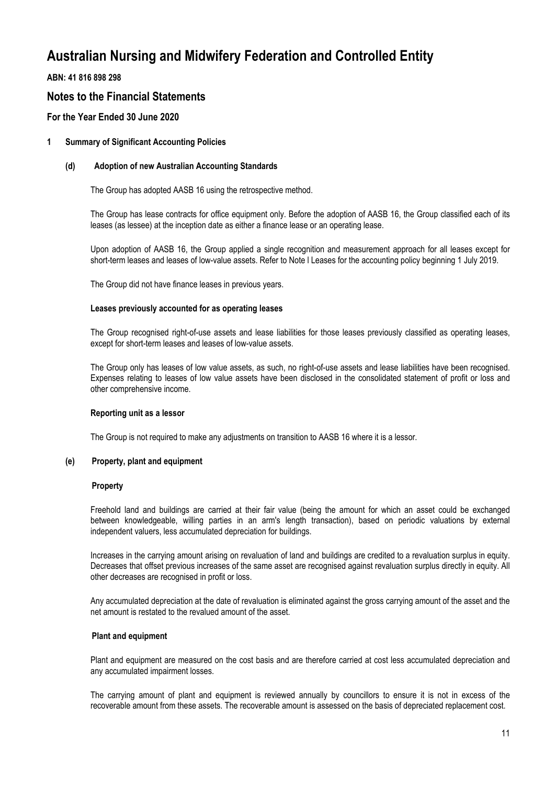**ABN: 41 816 898 298**

## **Notes to the Financial Statements**

## **For the Year Ended 30 June 2020**

### **1 Summary of Significant Accounting Policies**

#### **(d) Adoption of new Australian Accounting Standards**

The Group has adopted AASB 16 using the retrospective method.

The Group has lease contracts for office equipment only. Before the adoption of AASB 16, the Group classified each of its leases (as lessee) at the inception date as either a finance lease or an operating lease.

Upon adoption of AASB 16, the Group applied a single recognition and measurement approach for all leases except for short-term leases and leases of low-value assets. Refer to Note l Leases for the accounting policy beginning 1 July 2019.

The Group did not have finance leases in previous years.

#### **Leases previously accounted for as operating leases**

The Group recognised right-of-use assets and lease liabilities for those leases previously classified as operating leases, except for short-term leases and leases of low-value assets.

The Group only has leases of low value assets, as such, no right-of-use assets and lease liabilities have been recognised. Expenses relating to leases of low value assets have been disclosed in the consolidated statement of profit or loss and other comprehensive income.

#### **Reporting unit as a lessor**

The Group is not required to make any adjustments on transition to AASB 16 where it is a lessor.

#### **(e) Property, plant and equipment**

#### **Property**

Freehold land and buildings are carried at their fair value (being the amount for which an asset could be exchanged between knowledgeable, willing parties in an arm's length transaction), based on periodic valuations by external independent valuers, less accumulated depreciation for buildings.

Increases in the carrying amount arising on revaluation of land and buildings are credited to a revaluation surplus in equity. Decreases that offset previous increases of the same asset are recognised against revaluation surplus directly in equity. All other decreases are recognised in profit or loss.

Any accumulated depreciation at the date of revaluation is eliminated against the gross carrying amount of the asset and the net amount is restated to the revalued amount of the asset.

#### **Plant and equipment**

Plant and equipment are measured on the cost basis and are therefore carried at cost less accumulated depreciation and any accumulated impairment losses.

The carrying amount of plant and equipment is reviewed annually by councillors to ensure it is not in excess of the recoverable amount from these assets. The recoverable amount is assessed on the basis of depreciated replacement cost.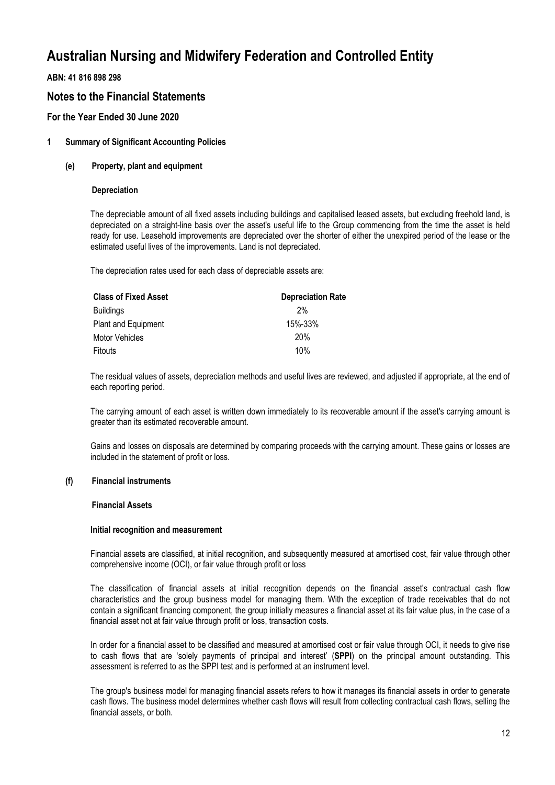## **ABN: 41 816 898 298**

## **Notes to the Financial Statements**

## **For the Year Ended 30 June 2020**

### **1 Summary of Significant Accounting Policies**

#### **(e) Property, plant and equipment**

#### **Depreciation**

The depreciable amount of all fixed assets including buildings and capitalised leased assets, but excluding freehold land, is depreciated on a straight-line basis over the asset's useful life to the Group commencing from the time the asset is held ready for use. Leasehold improvements are depreciated over the shorter of either the unexpired period of the lease or the estimated useful lives of the improvements. Land is not depreciated.

The depreciation rates used for each class of depreciable assets are:

| <b>Depreciation Rate</b> |
|--------------------------|
| 2%                       |
| 15%-33%                  |
| 20%                      |
| 10%                      |
|                          |

The residual values of assets, depreciation methods and useful lives are reviewed, and adjusted if appropriate, at the end of each reporting period.

The carrying amount of each asset is written down immediately to its recoverable amount if the asset's carrying amount is greater than its estimated recoverable amount.

Gains and losses on disposals are determined by comparing proceeds with the carrying amount. These gains or losses are included in the statement of profit or loss.

#### **(f) Financial instruments**

#### **Financial Assets**

#### **Initial recognition and measurement**

Financial assets are classified, at initial recognition, and subsequently measured at amortised cost, fair value through other comprehensive income (OCI), or fair value through profit or loss

The classification of financial assets at initial recognition depends on the financial asset's contractual cash flow characteristics and the group business model for managing them. With the exception of trade receivables that do not contain a significant financing component, the group initially measures a financial asset at its fair value plus, in the case of a financial asset not at fair value through profit or loss, transaction costs.

In order for a financial asset to be classified and measured at amortised cost or fair value through OCI, it needs to give rise to cash flows that are 'solely payments of principal and interest' (**SPPI**) on the principal amount outstanding. This assessment is referred to as the SPPI test and is performed at an instrument level.

The group's business model for managing financial assets refers to how it manages its financial assets in order to generate cash flows. The business model determines whether cash flows will result from collecting contractual cash flows, selling the financial assets, or both.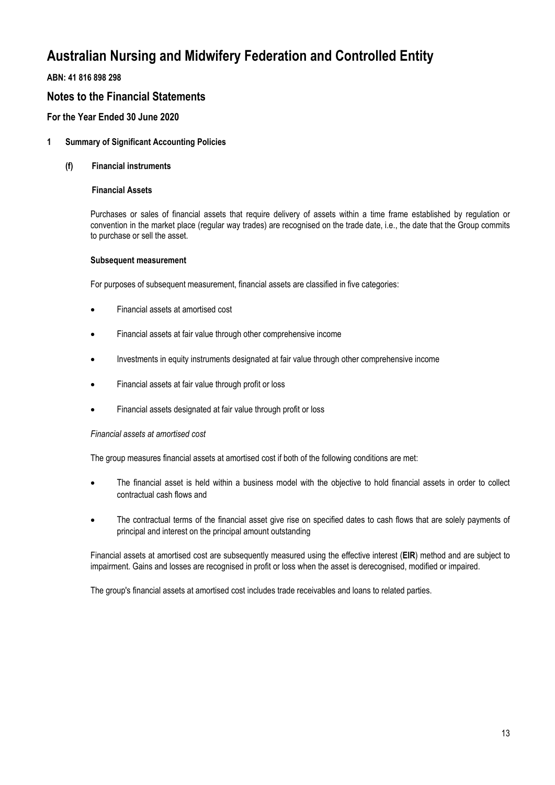**ABN: 41 816 898 298**

## **Notes to the Financial Statements**

## **For the Year Ended 30 June 2020**

### **1 Summary of Significant Accounting Policies**

### **(f) Financial instruments**

### **Financial Assets**

Purchases or sales of financial assets that require delivery of assets within a time frame established by regulation or convention in the market place (regular way trades) are recognised on the trade date, i.e., the date that the Group commits to purchase or sell the asset.

#### **Subsequent measurement**

For purposes of subsequent measurement, financial assets are classified in five categories:

- Financial assets at amortised cost
- Financial assets at fair value through other comprehensive income
- Investments in equity instruments designated at fair value through other comprehensive income
- Financial assets at fair value through profit or loss
- Financial assets designated at fair value through profit or loss

#### *Financial assets at amortised cost*

The group measures financial assets at amortised cost if both of the following conditions are met:

- The financial asset is held within a business model with the objective to hold financial assets in order to collect contractual cash flows and
- The contractual terms of the financial asset give rise on specified dates to cash flows that are solely payments of principal and interest on the principal amount outstanding

Financial assets at amortised cost are subsequently measured using the effective interest (**EIR**) method and are subject to impairment. Gains and losses are recognised in profit or loss when the asset is derecognised, modified or impaired.

The group's financial assets at amortised cost includes trade receivables and loans to related parties.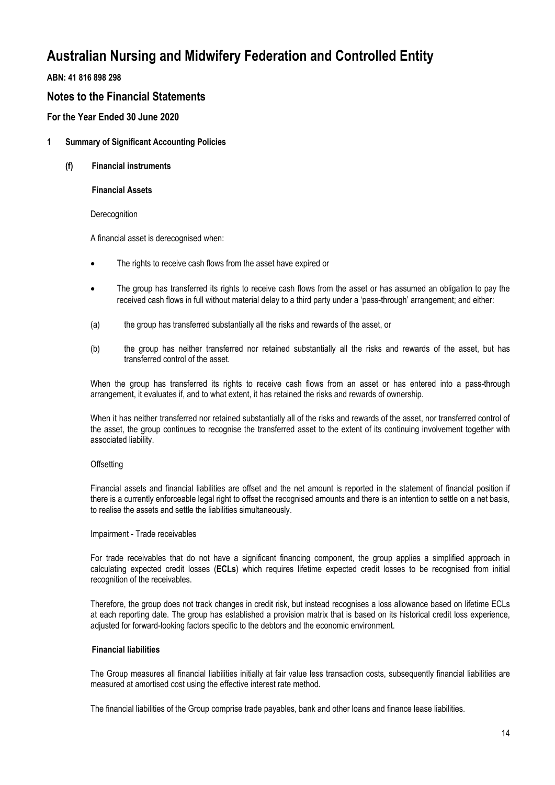**ABN: 41 816 898 298**

## **Notes to the Financial Statements**

**For the Year Ended 30 June 2020**

- **1 Summary of Significant Accounting Policies**
	- **(f) Financial instruments**

**Financial Assets**

**Derecognition** 

A financial asset is derecognised when:

- The rights to receive cash flows from the asset have expired or
- The group has transferred its rights to receive cash flows from the asset or has assumed an obligation to pay the received cash flows in full without material delay to a third party under a 'pass-through' arrangement; and either:
- (a) the group has transferred substantially all the risks and rewards of the asset, or
- (b) the group has neither transferred nor retained substantially all the risks and rewards of the asset, but has transferred control of the asset.

When the group has transferred its rights to receive cash flows from an asset or has entered into a pass-through arrangement, it evaluates if, and to what extent, it has retained the risks and rewards of ownership.

When it has neither transferred nor retained substantially all of the risks and rewards of the asset, nor transferred control of the asset, the group continues to recognise the transferred asset to the extent of its continuing involvement together with associated liability.

### **Offsetting**

Financial assets and financial liabilities are offset and the net amount is reported in the statement of financial position if there is a currently enforceable legal right to offset the recognised amounts and there is an intention to settle on a net basis, to realise the assets and settle the liabilities simultaneously.

#### Impairment - Trade receivables

For trade receivables that do not have a significant financing component, the group applies a simplified approach in calculating expected credit losses (**ECLs**) which requires lifetime expected credit losses to be recognised from initial recognition of the receivables.

Therefore, the group does not track changes in credit risk, but instead recognises a loss allowance based on lifetime ECLs at each reporting date. The group has established a provision matrix that is based on its historical credit loss experience, adjusted for forward-looking factors specific to the debtors and the economic environment.

### **Financial liabilities**

The Group measures all financial liabilities initially at fair value less transaction costs, subsequently financial liabilities are measured at amortised cost using the effective interest rate method.

The financial liabilities of the Group comprise trade payables, bank and other loans and finance lease liabilities.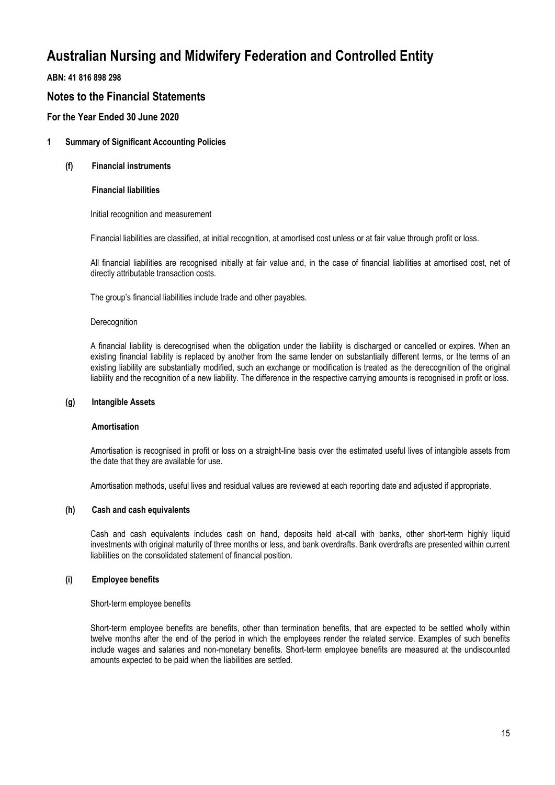**ABN: 41 816 898 298**

## **Notes to the Financial Statements**

**For the Year Ended 30 June 2020**

### **1 Summary of Significant Accounting Policies**

**(f) Financial instruments**

**Financial liabilities** 

Initial recognition and measurement

Financial liabilities are classified, at initial recognition, at amortised cost unless or at fair value through profit or loss.

All financial liabilities are recognised initially at fair value and, in the case of financial liabilities at amortised cost, net of directly attributable transaction costs.

The group's financial liabilities include trade and other payables.

#### **Derecognition**

A financial liability is derecognised when the obligation under the liability is discharged or cancelled or expires. When an existing financial liability is replaced by another from the same lender on substantially different terms, or the terms of an existing liability are substantially modified, such an exchange or modification is treated as the derecognition of the original liability and the recognition of a new liability. The difference in the respective carrying amounts is recognised in profit or loss.

#### **(g) Intangible Assets**

#### **Amortisation**

Amortisation is recognised in profit or loss on a straight-line basis over the estimated useful lives of intangible assets from the date that they are available for use.

Amortisation methods, useful lives and residual values are reviewed at each reporting date and adjusted if appropriate.

### **(h) Cash and cash equivalents**

Cash and cash equivalents includes cash on hand, deposits held at-call with banks, other short-term highly liquid investments with original maturity of three months or less, and bank overdrafts. Bank overdrafts are presented within current liabilities on the consolidated statement of financial position.

### **(i) Employee benefits**

Short-term employee benefits

Short-term employee benefits are benefits, other than termination benefits, that are expected to be settled wholly within twelve months after the end of the period in which the employees render the related service. Examples of such benefits include wages and salaries and non-monetary benefits. Short-term employee benefits are measured at the undiscounted amounts expected to be paid when the liabilities are settled.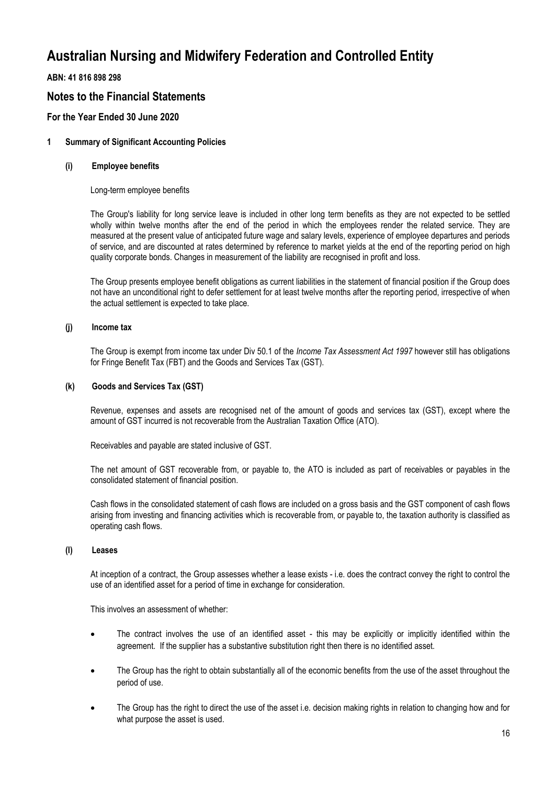**ABN: 41 816 898 298**

## **Notes to the Financial Statements**

## **For the Year Ended 30 June 2020**

### **1 Summary of Significant Accounting Policies**

#### **(i) Employee benefits**

Long-term employee benefits

The Group's liability for long service leave is included in other long term benefits as they are not expected to be settled wholly within twelve months after the end of the period in which the employees render the related service. They are measured at the present value of anticipated future wage and salary levels, experience of employee departures and periods of service, and are discounted at rates determined by reference to market yields at the end of the reporting period on high quality corporate bonds. Changes in measurement of the liability are recognised in profit and loss.

The Group presents employee benefit obligations as current liabilities in the statement of financial position if the Group does not have an unconditional right to defer settlement for at least twelve months after the reporting period, irrespective of when the actual settlement is expected to take place.

#### **(j) Income tax**

The Group is exempt from income tax under Div 50.1 of the *Income Tax Assessment Act 1997* however still has obligations for Fringe Benefit Tax (FBT) and the Goods and Services Tax (GST).

#### **(k) Goods and Services Tax (GST)**

Revenue, expenses and assets are recognised net of the amount of goods and services tax (GST), except where the amount of GST incurred is not recoverable from the Australian Taxation Office (ATO).

Receivables and payable are stated inclusive of GST.

The net amount of GST recoverable from, or payable to, the ATO is included as part of receivables or payables in the consolidated statement of financial position.

Cash flows in the consolidated statement of cash flows are included on a gross basis and the GST component of cash flows arising from investing and financing activities which is recoverable from, or payable to, the taxation authority is classified as operating cash flows.

### **(l) Leases**

At inception of a contract, the Group assesses whether a lease exists - i.e. does the contract convey the right to control the use of an identified asset for a period of time in exchange for consideration.

This involves an assessment of whether:

- The contract involves the use of an identified asset this may be explicitly or implicitly identified within the agreement. If the supplier has a substantive substitution right then there is no identified asset.
- The Group has the right to obtain substantially all of the economic benefits from the use of the asset throughout the period of use.
- The Group has the right to direct the use of the asset i.e. decision making rights in relation to changing how and for what purpose the asset is used.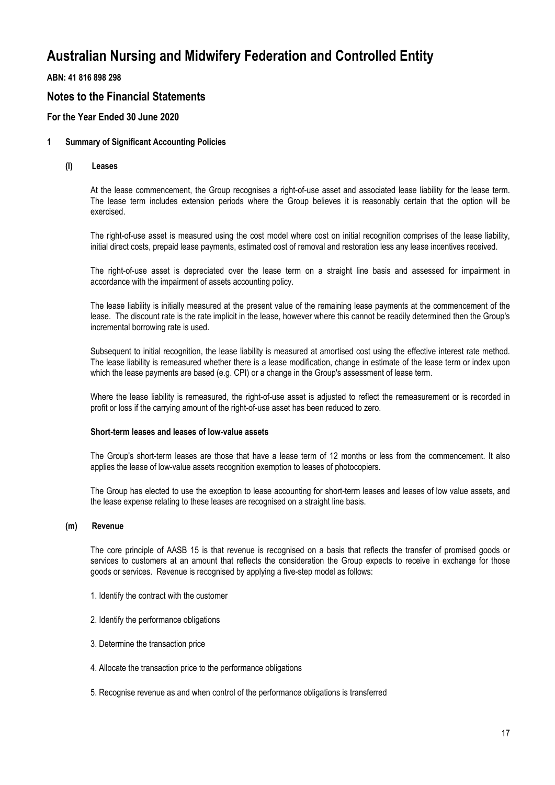**ABN: 41 816 898 298**

## **Notes to the Financial Statements**

## **For the Year Ended 30 June 2020**

### **1 Summary of Significant Accounting Policies**

**(l) Leases**

At the lease commencement, the Group recognises a right-of-use asset and associated lease liability for the lease term. The lease term includes extension periods where the Group believes it is reasonably certain that the option will be exercised.

The right-of-use asset is measured using the cost model where cost on initial recognition comprises of the lease liability, initial direct costs, prepaid lease payments, estimated cost of removal and restoration less any lease incentives received.

The right-of-use asset is depreciated over the lease term on a straight line basis and assessed for impairment in accordance with the impairment of assets accounting policy.

The lease liability is initially measured at the present value of the remaining lease payments at the commencement of the lease. The discount rate is the rate implicit in the lease, however where this cannot be readily determined then the Group's incremental borrowing rate is used.

Subsequent to initial recognition, the lease liability is measured at amortised cost using the effective interest rate method. The lease liability is remeasured whether there is a lease modification, change in estimate of the lease term or index upon which the lease payments are based (e.g. CPI) or a change in the Group's assessment of lease term.

Where the lease liability is remeasured, the right-of-use asset is adjusted to reflect the remeasurement or is recorded in profit or loss if the carrying amount of the right-of-use asset has been reduced to zero.

#### **Short-term leases and leases of low-value assets**

The Group's short-term leases are those that have a lease term of 12 months or less from the commencement. It also applies the lease of low-value assets recognition exemption to leases of photocopiers.

The Group has elected to use the exception to lease accounting for short-term leases and leases of low value assets, and the lease expense relating to these leases are recognised on a straight line basis.

#### **(m) Revenue**

The core principle of AASB 15 is that revenue is recognised on a basis that reflects the transfer of promised goods or services to customers at an amount that reflects the consideration the Group expects to receive in exchange for those goods or services. Revenue is recognised by applying a five-step model as follows:

- 1. Identify the contract with the customer
- 2. Identify the performance obligations
- 3. Determine the transaction price
- 4. Allocate the transaction price to the performance obligations
- 5. Recognise revenue as and when control of the performance obligations is transferred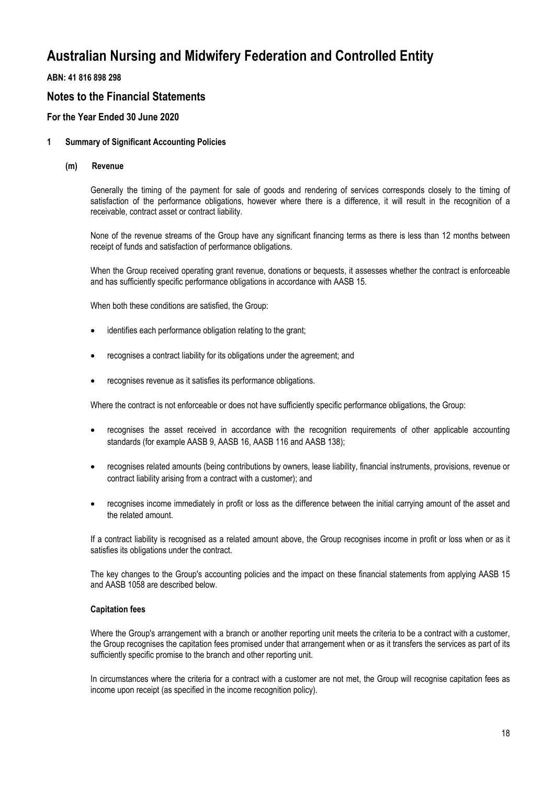**ABN: 41 816 898 298**

## **Notes to the Financial Statements**

## **For the Year Ended 30 June 2020**

### **1 Summary of Significant Accounting Policies**

**(m) Revenue**

Generally the timing of the payment for sale of goods and rendering of services corresponds closely to the timing of satisfaction of the performance obligations, however where there is a difference, it will result in the recognition of a receivable, contract asset or contract liability.

None of the revenue streams of the Group have any significant financing terms as there is less than 12 months between receipt of funds and satisfaction of performance obligations.

When the Group received operating grant revenue, donations or bequests, it assesses whether the contract is enforceable and has sufficiently specific performance obligations in accordance with AASB 15.

When both these conditions are satisfied, the Group:

- identifies each performance obligation relating to the grant;
- recognises a contract liability for its obligations under the agreement; and
- recognises revenue as it satisfies its performance obligations.

Where the contract is not enforceable or does not have sufficiently specific performance obligations, the Group:

- recognises the asset received in accordance with the recognition requirements of other applicable accounting standards (for example AASB 9, AASB 16, AASB 116 and AASB 138);
- recognises related amounts (being contributions by owners, lease liability, financial instruments, provisions, revenue or contract liability arising from a contract with a customer); and
- recognises income immediately in profit or loss as the difference between the initial carrying amount of the asset and the related amount.

If a contract liability is recognised as a related amount above, the Group recognises income in profit or loss when or as it satisfies its obligations under the contract.

The key changes to the Group's accounting policies and the impact on these financial statements from applying AASB 15 and AASB 1058 are described below.

#### **Capitation fees**

Where the Group's arrangement with a branch or another reporting unit meets the criteria to be a contract with a customer, the Group recognises the capitation fees promised under that arrangement when or as it transfers the services as part of its sufficiently specific promise to the branch and other reporting unit.

In circumstances where the criteria for a contract with a customer are not met, the Group will recognise capitation fees as income upon receipt (as specified in the income recognition policy).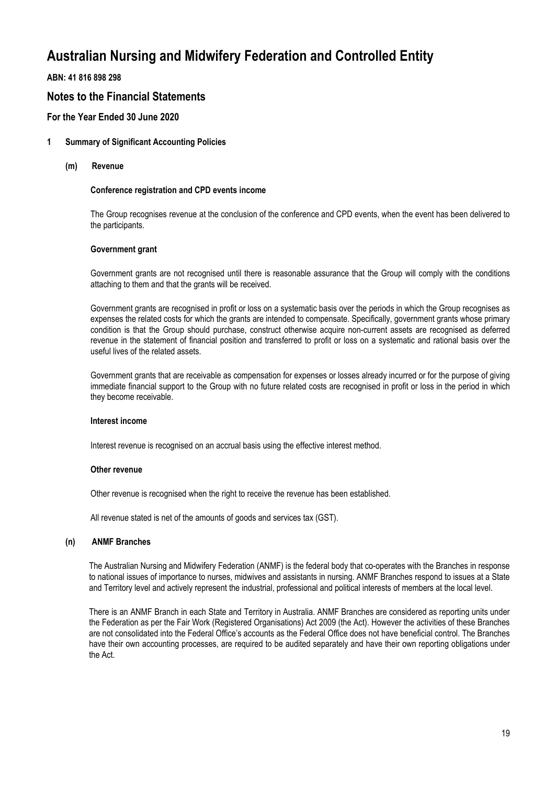**ABN: 41 816 898 298**

## **Notes to the Financial Statements**

## **For the Year Ended 30 June 2020**

### **1 Summary of Significant Accounting Policies**

**(m) Revenue**

#### **Conference registration and CPD events income**

The Group recognises revenue at the conclusion of the conference and CPD events, when the event has been delivered to the participants.

#### **Government grant**

Government grants are not recognised until there is reasonable assurance that the Group will comply with the conditions attaching to them and that the grants will be received.

Government grants are recognised in profit or loss on a systematic basis over the periods in which the Group recognises as expenses the related costs for which the grants are intended to compensate. Specifically, government grants whose primary condition is that the Group should purchase, construct otherwise acquire non-current assets are recognised as deferred revenue in the statement of financial position and transferred to profit or loss on a systematic and rational basis over the useful lives of the related assets.

Government grants that are receivable as compensation for expenses or losses already incurred or for the purpose of giving immediate financial support to the Group with no future related costs are recognised in profit or loss in the period in which they become receivable.

#### **Interest income**

Interest revenue is recognised on an accrual basis using the effective interest method.

#### **Other revenue**

Other revenue is recognised when the right to receive the revenue has been established.

All revenue stated is net of the amounts of goods and services tax (GST).

#### **(n) ANMF Branches**

The Australian Nursing and Midwifery Federation (ANMF) is the federal body that co-operates with the Branches in response to national issues of importance to nurses, midwives and assistants in nursing. ANMF Branches respond to issues at a State and Territory level and actively represent the industrial, professional and political interests of members at the local level.

There is an ANMF Branch in each State and Territory in Australia. ANMF Branches are considered as reporting units under the Federation as per the Fair Work (Registered Organisations) Act 2009 (the Act). However the activities of these Branches are not consolidated into the Federal Office's accounts as the Federal Office does not have beneficial control. The Branches have their own accounting processes, are required to be audited separately and have their own reporting obligations under the Act.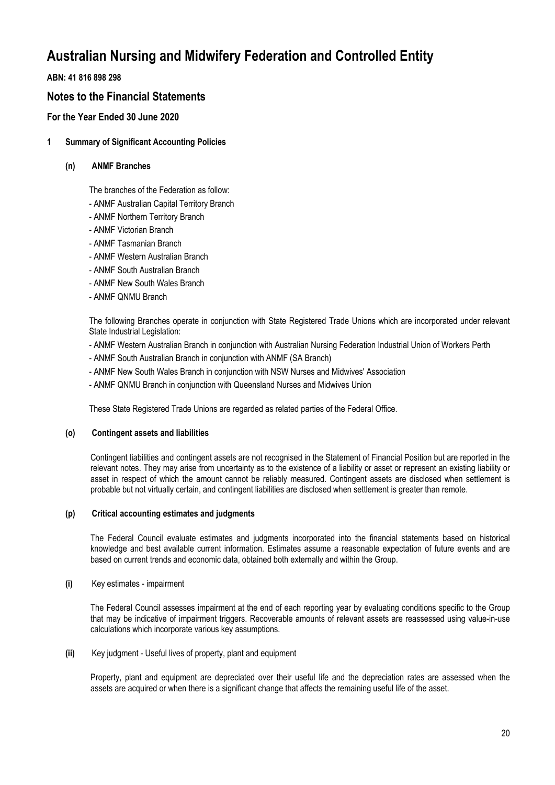**ABN: 41 816 898 298**

## **Notes to the Financial Statements**

## **For the Year Ended 30 June 2020**

**1 Summary of Significant Accounting Policies**

### **(n) ANMF Branches**

The branches of the Federation as follow:

- ANMF Australian Capital Territory Branch
- ANMF Northern Territory Branch
- ANMF Victorian Branch
- ANMF Tasmanian Branch
- ANMF Western Australian Branch
- ANMF South Australian Branch
- ANMF New South Wales Branch
- ANMF QNMU Branch

The following Branches operate in conjunction with State Registered Trade Unions which are incorporated under relevant State Industrial Legislation:

- ANMF Western Australian Branch in conjunction with Australian Nursing Federation Industrial Union of Workers Perth
- ANMF South Australian Branch in conjunction with ANMF (SA Branch)
- ANMF New South Wales Branch in conjunction with NSW Nurses and Midwives' Association
- ANMF QNMU Branch in conjunction with Queensland Nurses and Midwives Union

These State Registered Trade Unions are regarded as related parties of the Federal Office.

### **(o) Contingent assets and liabilities**

Contingent liabilities and contingent assets are not recognised in the Statement of Financial Position but are reported in the relevant notes. They may arise from uncertainty as to the existence of a liability or asset or represent an existing liability or asset in respect of which the amount cannot be reliably measured. Contingent assets are disclosed when settlement is probable but not virtually certain, and contingent liabilities are disclosed when settlement is greater than remote.

### **(p) Critical accounting estimates and judgments**

The Federal Council evaluate estimates and judgments incorporated into the financial statements based on historical knowledge and best available current information. Estimates assume a reasonable expectation of future events and are based on current trends and economic data, obtained both externally and within the Group.

### **(i)** Key estimates - impairment

The Federal Council assesses impairment at the end of each reporting year by evaluating conditions specific to the Group that may be indicative of impairment triggers. Recoverable amounts of relevant assets are reassessed using value-in-use calculations which incorporate various key assumptions.

**(ii)** Key judgment - Useful lives of property, plant and equipment

Property, plant and equipment are depreciated over their useful life and the depreciation rates are assessed when the assets are acquired or when there is a significant change that affects the remaining useful life of the asset.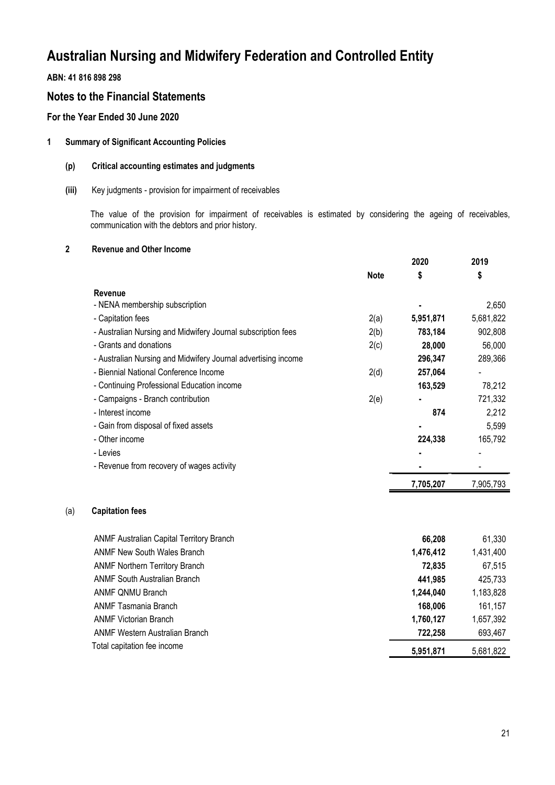## **ABN: 41 816 898 298**

(a) **Capitation fees**

## **Notes to the Financial Statements**

## **For the Year Ended 30 June 2020**

## **1 Summary of Significant Accounting Policies**

## **(p) Critical accounting estimates and judgments**

### **(iii)** Key judgments - provision for impairment of receivables

The value of the provision for impairment of receivables is estimated by considering the ageing of receivables, communication with the debtors and prior history.

### **2 Revenue and Other Income**

|                                                               |             | 2020      | 2019      |
|---------------------------------------------------------------|-------------|-----------|-----------|
|                                                               | <b>Note</b> | \$        | \$        |
| Revenue                                                       |             |           |           |
| - NENA membership subscription                                |             |           | 2,650     |
| - Capitation fees                                             | 2(a)        | 5,951,871 | 5,681,822 |
| - Australian Nursing and Midwifery Journal subscription fees  | 2(b)        | 783,184   | 902,808   |
| - Grants and donations                                        | 2(c)        | 28,000    | 56,000    |
| - Australian Nursing and Midwifery Journal advertising income |             | 296,347   | 289,366   |
| - Biennial National Conference Income                         | 2(d)        | 257,064   |           |
| - Continuing Professional Education income                    |             | 163,529   | 78,212    |
| - Campaigns - Branch contribution                             | 2(e)        |           | 721,332   |
| - Interest income                                             |             | 874       | 2,212     |
| - Gain from disposal of fixed assets                          |             |           | 5,599     |
| - Other income                                                |             | 224,338   | 165,792   |
| - Levies                                                      |             |           |           |
| - Revenue from recovery of wages activity                     |             |           |           |
|                                                               |             | 7,705,207 | 7,905,793 |
| <b>Capitation fees</b>                                        |             |           |           |
| ANMF Australian Capital Territory Branch                      |             | 66,208    | 61,330    |
| <b>ANMF New South Wales Branch</b>                            |             | 1,476,412 | 1,431,400 |
| <b>ANMF Northern Territory Branch</b>                         |             | 72,835    | 67,515    |
| <b>ANMF South Australian Branch</b>                           |             | 441,985   | 425,733   |

| ANME South Australian Branch   | 441.985   | 425.733   |
|--------------------------------|-----------|-----------|
| ANMF QNMU Branch               | 1.244.040 | 1,183,828 |
| ANMF Tasmania Branch           | 168.006   | 161.157   |
| <b>ANMF Victorian Branch</b>   | 1.760.127 | 1.657.392 |
| ANMF Western Australian Branch | 722.258   | 693.467   |
| Total capitation fee income    | 5,951,871 | 5,681,822 |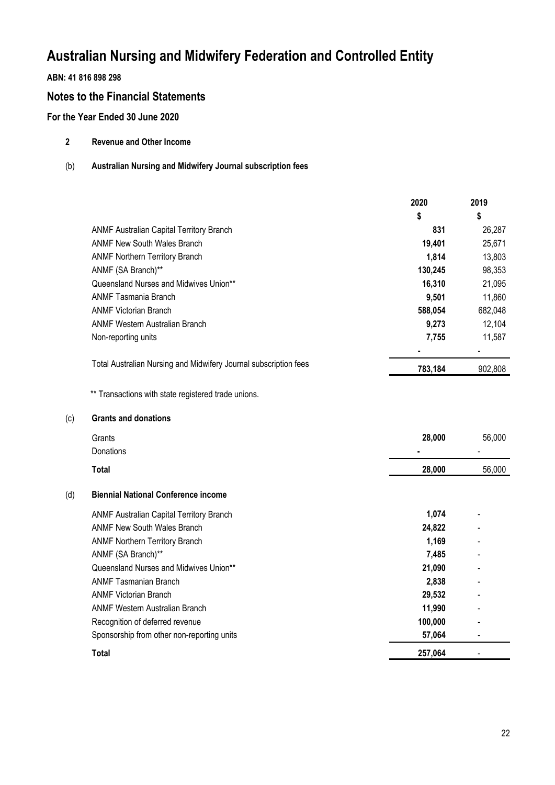## **ABN: 41 816 898 298**

(c) **Grants and donations**

## **Notes to the Financial Statements**

## **For the Year Ended 30 June 2020**

- **2 Revenue and Other Income**
- (b) **Australian Nursing and Midwifery Journal subscription fees**

|     |                                                                  | 2020    | 2019    |
|-----|------------------------------------------------------------------|---------|---------|
|     |                                                                  | \$      | \$      |
|     | ANMF Australian Capital Territory Branch                         | 831     | 26,287  |
|     | <b>ANMF New South Wales Branch</b>                               | 19,401  | 25,671  |
|     | <b>ANMF Northern Territory Branch</b>                            | 1,814   | 13,803  |
|     | ANMF (SA Branch)**                                               | 130,245 | 98,353  |
|     | Queensland Nurses and Midwives Union**                           | 16,310  | 21,095  |
|     | <b>ANMF Tasmania Branch</b>                                      | 9,501   | 11,860  |
|     | <b>ANMF Victorian Branch</b>                                     | 588,054 | 682,048 |
|     | <b>ANMF Western Australian Branch</b>                            | 9,273   | 12,104  |
|     | Non-reporting units                                              | 7,755   | 11,587  |
|     | Total Australian Nursing and Midwifery Journal subscription fees | 783,184 | 902,808 |
|     | ** Transactions with state registered trade unions.              |         |         |
| (c) | <b>Grants and donations</b>                                      |         |         |
|     | Grants                                                           | 28,000  | 56,000  |
|     | Donations                                                        |         |         |
|     | <b>Total</b>                                                     | 28,000  | 56,000  |
| (d) | <b>Biennial National Conference income</b>                       |         |         |
|     | ANMF Australian Capital Territory Branch                         | 1,074   |         |
|     | <b>ANMF New South Wales Branch</b>                               | 24,822  |         |
|     | <b>ANMF Northern Territory Branch</b>                            | 1,169   |         |
|     | ANMF (SA Branch)**                                               | 7,485   |         |
|     | Queensland Nurses and Midwives Union**                           | 21,090  |         |
|     | <b>ANMF Tasmanian Branch</b>                                     | 2,838   |         |
|     | <b>ANMF Victorian Branch</b>                                     | 29,532  |         |
|     | <b>ANMF Western Australian Branch</b>                            | 11,990  |         |
|     | Recognition of deferred revenue                                  | 100,000 |         |
|     | Sponsorship from other non-reporting units                       | 57,064  |         |
|     | Total                                                            | 257,064 |         |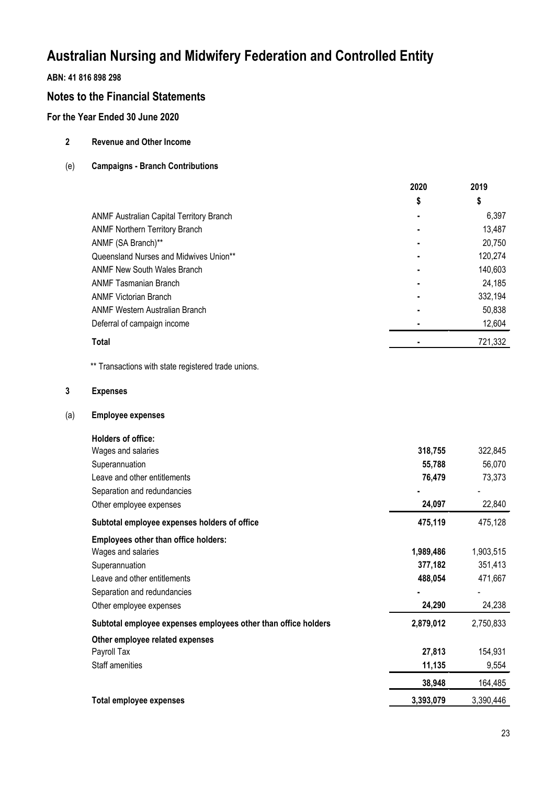## **ABN: 41 816 898 298**

## **Notes to the Financial Statements**

## **For the Year Ended 30 June 2020**

- **2 Revenue and Other Income**
- (e) **Campaigns Branch Contributions**

|                                          | 2020 | 2019    |
|------------------------------------------|------|---------|
|                                          | \$   | \$      |
| ANMF Australian Capital Territory Branch |      | 6,397   |
| <b>ANMF Northern Territory Branch</b>    |      | 13,487  |
| ANMF (SA Branch)**                       |      | 20,750  |
| Queensland Nurses and Midwives Union**   |      | 120,274 |
| <b>ANMF New South Wales Branch</b>       |      | 140,603 |
| <b>ANMF Tasmanian Branch</b>             |      | 24,185  |
| <b>ANMF Victorian Branch</b>             |      | 332,194 |
| ANMF Western Australian Branch           |      | 50,838  |
| Deferral of campaign income              |      | 12,604  |
| Total                                    |      | 721,332 |

\*\* Transactions with state registered trade unions.

### **3 Expenses**

(a) **Employee expenses**

| Holders of office:                                             |           |           |
|----------------------------------------------------------------|-----------|-----------|
| Wages and salaries                                             | 318,755   | 322,845   |
| Superannuation                                                 | 55,788    | 56,070    |
| Leave and other entitlements                                   | 76,479    | 73,373    |
| Separation and redundancies                                    |           |           |
| Other employee expenses                                        | 24,097    | 22,840    |
| Subtotal employee expenses holders of office                   | 475,119   | 475,128   |
| <b>Employees other than office holders:</b>                    |           |           |
| Wages and salaries                                             | 1,989,486 | 1,903,515 |
| Superannuation                                                 | 377,182   | 351,413   |
| Leave and other entitlements                                   | 488,054   | 471,667   |
| Separation and redundancies                                    |           |           |
| Other employee expenses                                        | 24,290    | 24,238    |
| Subtotal employee expenses employees other than office holders | 2,879,012 | 2,750,833 |
| Other employee related expenses                                |           |           |
| Payroll Tax                                                    | 27,813    | 154,931   |
| Staff amenities                                                | 11,135    | 9,554     |
|                                                                | 38,948    | 164,485   |
| Total employee expenses                                        | 3,393,079 | 3,390,446 |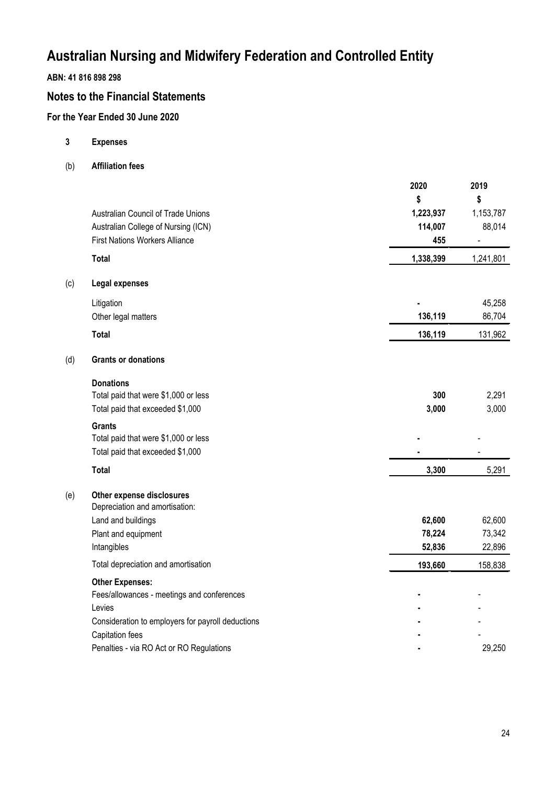## **ABN: 41 816 898 298**

## **Notes to the Financial Statements**

## **For the Year Ended 30 June 2020**

**3 Expenses**

(b) **Affiliation fees**

|     |                                                   | 2020      | 2019           |
|-----|---------------------------------------------------|-----------|----------------|
|     |                                                   | \$        | \$             |
|     | Australian Council of Trade Unions                | 1,223,937 | 1,153,787      |
|     | Australian College of Nursing (ICN)               | 114,007   | 88,014         |
|     | <b>First Nations Workers Alliance</b>             | 455       | $\blacksquare$ |
|     | <b>Total</b>                                      | 1,338,399 | 1,241,801      |
| (c) | <b>Legal expenses</b>                             |           |                |
|     | Litigation                                        |           | 45,258         |
|     | Other legal matters                               | 136,119   | 86,704         |
|     | <b>Total</b>                                      | 136,119   | 131,962        |
| (d) | <b>Grants or donations</b>                        |           |                |
|     | <b>Donations</b>                                  |           |                |
|     | Total paid that were \$1,000 or less              | 300       | 2,291          |
|     | Total paid that exceeded \$1,000                  | 3,000     | 3,000          |
|     | <b>Grants</b>                                     |           |                |
|     | Total paid that were \$1,000 or less              |           |                |
|     | Total paid that exceeded \$1,000                  |           |                |
|     | <b>Total</b>                                      | 3,300     | 5,291          |
| (e) | Other expense disclosures                         |           |                |
|     | Depreciation and amortisation:                    |           |                |
|     | Land and buildings                                | 62,600    | 62,600         |
|     | Plant and equipment                               | 78,224    | 73,342         |
|     | Intangibles                                       | 52,836    | 22,896         |
|     | Total depreciation and amortisation               | 193,660   | 158,838        |
|     | <b>Other Expenses:</b>                            |           |                |
|     | Fees/allowances - meetings and conferences        |           |                |
|     | Levies                                            |           |                |
|     | Consideration to employers for payroll deductions |           |                |
|     | Capitation fees                                   |           |                |
|     | Penalties - via RO Act or RO Regulations          |           | 29,250         |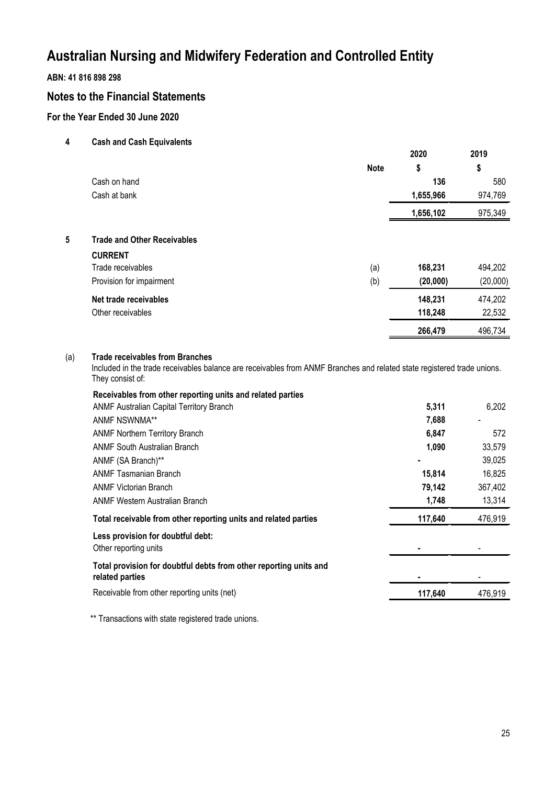## **ABN: 41 816 898 298**

## **Notes to the Financial Statements**

## **For the Year Ended 30 June 2020**

**4 Cash and Cash Equivalents**

|   |                                    |             | 2020      | 2019     |
|---|------------------------------------|-------------|-----------|----------|
|   |                                    | <b>Note</b> | \$        | \$       |
|   | Cash on hand                       |             | 136       | 580      |
|   | Cash at bank                       |             | 1,655,966 | 974,769  |
|   |                                    |             | 1,656,102 | 975,349  |
| 5 | <b>Trade and Other Receivables</b> |             |           |          |
|   | <b>CURRENT</b>                     |             |           |          |
|   | Trade receivables                  | (a)         | 168,231   | 494,202  |
|   | Provision for impairment           | (b)         | (20,000)  | (20,000) |
|   | Net trade receivables              |             | 148,231   | 474,202  |
|   | Other receivables                  |             | 118,248   | 22,532   |
|   |                                    |             | 266,479   | 496,734  |
|   |                                    |             |           |          |

### (a) **Trade receivables from Branches**

Included in the trade receivables balance are receivables from ANMF Branches and related state registered trade unions. They consist of:

| Receivables from other reporting units and related parties                           |         |         |
|--------------------------------------------------------------------------------------|---------|---------|
| <b>ANMF Australian Capital Territory Branch</b>                                      | 5,311   | 6,202   |
| ANMF NSWNMA**                                                                        | 7,688   |         |
| <b>ANMF Northern Territory Branch</b>                                                | 6,847   | 572     |
| <b>ANMF South Australian Branch</b>                                                  | 1,090   | 33,579  |
| ANMF (SA Branch)**                                                                   |         | 39,025  |
| <b>ANMF Tasmanian Branch</b>                                                         | 15,814  | 16,825  |
| <b>ANMF Victorian Branch</b>                                                         | 79,142  | 367,402 |
| ANMF Western Australian Branch                                                       | 1,748   | 13,314  |
| Total receivable from other reporting units and related parties                      | 117,640 | 476,919 |
| Less provision for doubtful debt:<br>Other reporting units                           |         |         |
| Total provision for doubtful debts from other reporting units and<br>related parties |         |         |
| Receivable from other reporting units (net)                                          | 117.640 | 476,919 |
|                                                                                      |         |         |

\*\* Transactions with state registered trade unions.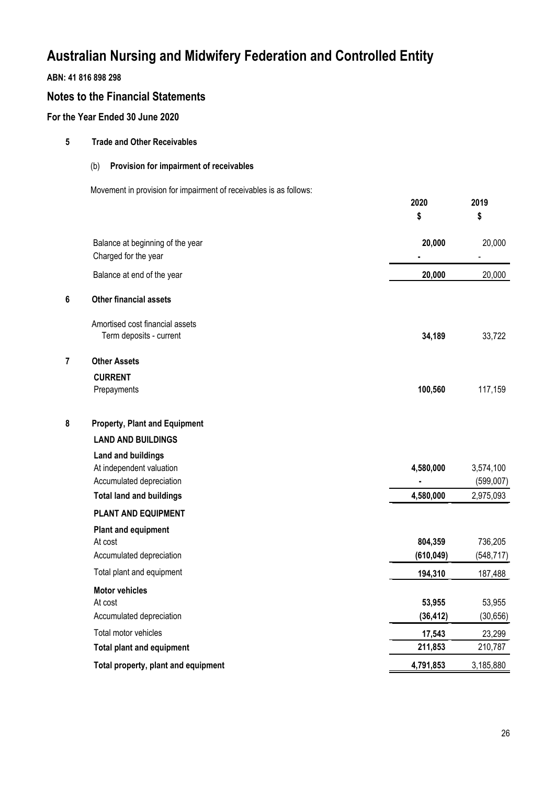## **ABN: 41 816 898 298**

## **Notes to the Financial Statements**

## **For the Year Ended 30 June 2020**

| 5 | <b>Trade and Other Receivables</b>                                                                                   |                        |                                     |
|---|----------------------------------------------------------------------------------------------------------------------|------------------------|-------------------------------------|
|   | Provision for impairment of receivables<br>(b)                                                                       |                        |                                     |
|   | Movement in provision for impairment of receivables is as follows:                                                   | 2020<br>\$             | 2019<br>\$                          |
|   | Balance at beginning of the year<br>Charged for the year                                                             | 20,000                 | 20,000                              |
|   | Balance at end of the year                                                                                           | 20,000                 | 20,000                              |
| 6 | <b>Other financial assets</b>                                                                                        |                        |                                     |
|   | Amortised cost financial assets<br>Term deposits - current                                                           | 34,189                 | 33,722                              |
| 7 | <b>Other Assets</b>                                                                                                  |                        |                                     |
|   | <b>CURRENT</b><br>Prepayments                                                                                        | 100,560                | 117,159                             |
| 8 | <b>Property, Plant and Equipment</b>                                                                                 |                        |                                     |
|   | <b>LAND AND BUILDINGS</b>                                                                                            |                        |                                     |
|   | <b>Land and buildings</b><br>At independent valuation<br>Accumulated depreciation<br><b>Total land and buildings</b> | 4,580,000<br>4,580,000 | 3,574,100<br>(599,007)<br>2,975,093 |
|   | PLANT AND EQUIPMENT                                                                                                  |                        |                                     |
|   | <b>Plant and equipment</b><br>At cost<br>Accumulated depreciation                                                    | 804,359<br>(610, 049)  | 736,205<br>(548, 717)               |
|   | Total plant and equipment                                                                                            | 194,310                | 187,488                             |
|   | <b>Motor vehicles</b><br>At cost<br>Accumulated depreciation                                                         | 53,955<br>(36, 412)    | 53,955<br>(30, 656)                 |
|   | Total motor vehicles                                                                                                 | 17,543                 | 23,299                              |
|   | <b>Total plant and equipment</b>                                                                                     | 211,853                | 210,787                             |
|   | Total property, plant and equipment                                                                                  | 4,791,853              | 3,185,880                           |

 $\overline{a}$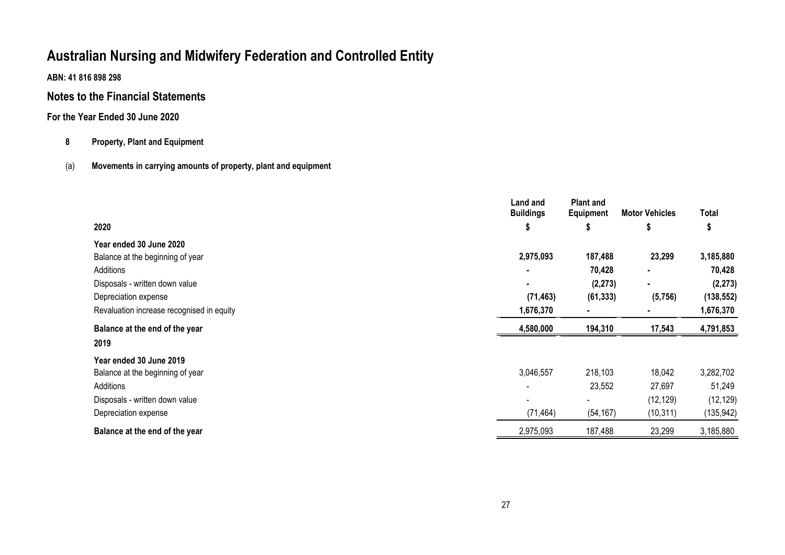**ABN: 41 816 898 298**

## **Notes to the Financial Statements**

## **For the Year Ended 30 June 2020**

## **8 Property, Plant and Equipment**

## (a) **Movements in carrying amounts of property, plant and equipment**

|                                           | Land and<br><b>Buildings</b> | <b>Plant and</b><br>Equipment | <b>Motor Vehicles</b> | <b>Total</b> |
|-------------------------------------------|------------------------------|-------------------------------|-----------------------|--------------|
| 2020                                      | P                            | ъ                             | P                     | 5            |
| Year ended 30 June 2020                   |                              |                               |                       |              |
| Balance at the beginning of year          | 2,975,093                    | 187,488                       | 23,299                | 3,185,880    |
| Additions                                 |                              | 70,428                        | ٠                     | 70,428       |
| Disposals - written down value            | ٠                            | (2, 273)                      | $\blacksquare$        | (2, 273)     |
| Depreciation expense                      | (71, 463)                    | (61, 333)                     | (5,756)               | (138, 552)   |
| Revaluation increase recognised in equity | 1,676,370                    |                               |                       | 1,676,370    |
| Balance at the end of the year            | 4,580,000                    | 194,310                       | 17,543                | 4,791,853    |
| 2019                                      |                              |                               |                       |              |
| Year ended 30 June 2019                   |                              |                               |                       |              |
| Balance at the beginning of year          | 3,046,557                    | 218,103                       | 18,042                | 3,282,702    |
| Additions                                 | $\overline{\phantom{a}}$     | 23,552                        | 27,697                | 51,249       |
| Disposals - written down value            | $\overline{\phantom{0}}$     | $\blacksquare$                | (12, 129)             | (12, 129)    |
| Depreciation expense                      | (71, 464)                    | (54, 167)                     | (10, 311)             | (135, 942)   |
| Balance at the end of the year            | 2,975,093                    | 187,488                       | 23,299                | 3,185,880    |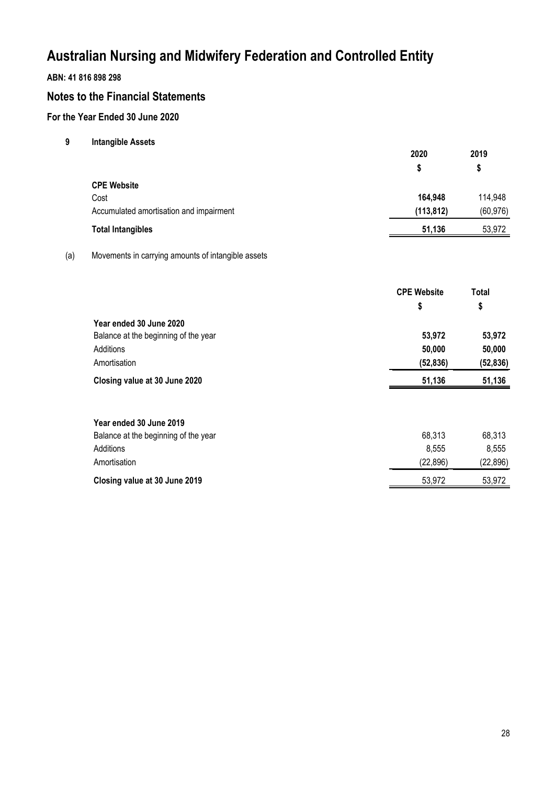## **ABN: 41 816 898 298**

## **Notes to the Financial Statements**

## **For the Year Ended 30 June 2020**

**9 Intangible Assets**

|                                         | 2020       | 2019      |
|-----------------------------------------|------------|-----------|
|                                         | S          | S         |
| <b>CPE Website</b>                      |            |           |
| Cost                                    | 164,948    | 114,948   |
| Accumulated amortisation and impairment | (113, 812) | (60, 976) |
| <b>Total Intangibles</b>                | 51,136     | 53,972    |

### (a) Movements in carrying amounts of intangible assets

|                                      | <b>CPE Website</b> | <b>Total</b> |  |
|--------------------------------------|--------------------|--------------|--|
|                                      | \$                 | \$           |  |
| Year ended 30 June 2020              |                    |              |  |
| Balance at the beginning of the year | 53,972             | 53,972       |  |
| Additions                            | 50,000             | 50,000       |  |
| Amortisation                         | (52, 836)          | (52, 836)    |  |
| Closing value at 30 June 2020        | 51,136             | 51,136       |  |
|                                      |                    |              |  |
| Year ended 30 June 2019              |                    |              |  |
| Balance at the beginning of the year | 68,313             | 68,313       |  |
| Additions                            | 8,555              | 8,555        |  |

Amortisation (22,896) (22,896) (22,896) **Closing value at 30 June 2019** 53,972 53,972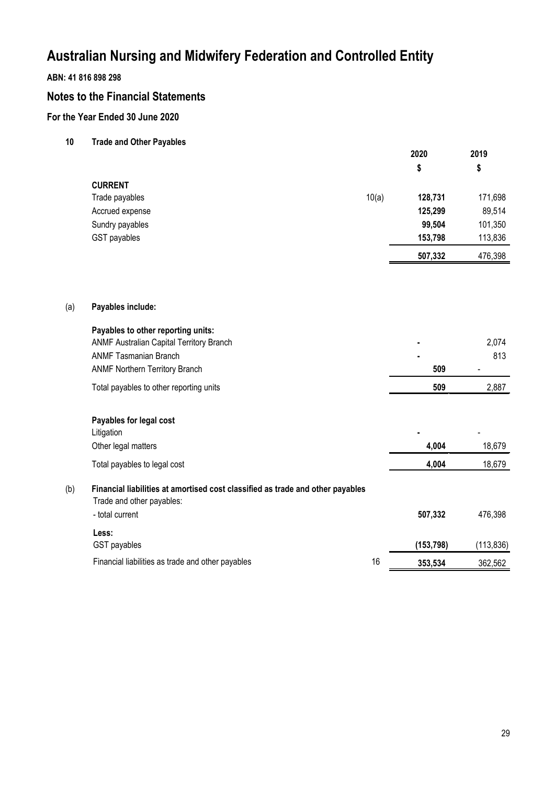## **ABN: 41 816 898 298**

## **Notes to the Financial Statements**

## **For the Year Ended 30 June 2020**

**10 Trade and Other Payables**

|     |                                                                                                             |       | 2020       | 2019       |  |
|-----|-------------------------------------------------------------------------------------------------------------|-------|------------|------------|--|
|     |                                                                                                             |       | \$         | \$         |  |
|     | <b>CURRENT</b>                                                                                              |       |            |            |  |
|     | Trade payables                                                                                              | 10(a) | 128,731    | 171,698    |  |
|     | Accrued expense                                                                                             |       | 125,299    | 89,514     |  |
|     | Sundry payables                                                                                             |       | 99,504     | 101,350    |  |
|     | <b>GST</b> payables                                                                                         |       | 153,798    | 113,836    |  |
|     |                                                                                                             |       | 507,332    | 476,398    |  |
|     |                                                                                                             |       |            |            |  |
| (a) | Payables include:                                                                                           |       |            |            |  |
|     | Payables to other reporting units:                                                                          |       |            |            |  |
|     | ANMF Australian Capital Territory Branch                                                                    |       |            | 2,074      |  |
|     | <b>ANMF Tasmanian Branch</b>                                                                                |       |            | 813        |  |
|     | <b>ANMF Northern Territory Branch</b>                                                                       |       | 509        |            |  |
|     | Total payables to other reporting units                                                                     |       | 509        | 2,887      |  |
|     | Payables for legal cost                                                                                     |       |            |            |  |
|     | Litigation                                                                                                  |       |            |            |  |
|     | Other legal matters                                                                                         |       | 4,004      | 18,679     |  |
|     | Total payables to legal cost                                                                                |       | 4,004      | 18,679     |  |
| (b) | Financial liabilities at amortised cost classified as trade and other payables<br>Trade and other payables: |       |            |            |  |
|     | - total current                                                                                             |       | 507,332    | 476,398    |  |
|     | Less:                                                                                                       |       |            |            |  |
|     | GST payables                                                                                                |       | (153, 798) | (113, 836) |  |
|     | Financial liabilities as trade and other payables                                                           | 16    | 353,534    | 362,562    |  |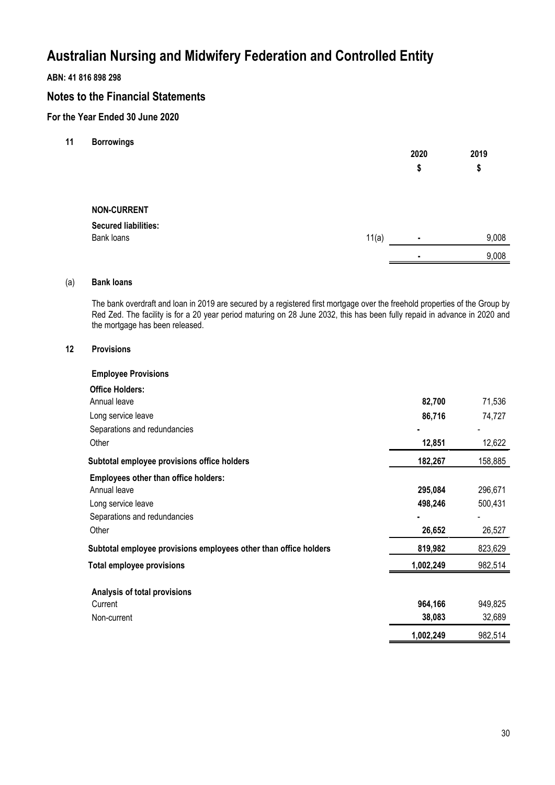## **ABN: 41 816 898 298**

## **Notes to the Financial Statements**

## **For the Year Ended 30 June 2020**

**11 Borrowings**

|                             |       | 2020           | 2019  |
|-----------------------------|-------|----------------|-------|
|                             |       | \$             | \$    |
|                             |       |                |       |
| <b>NON-CURRENT</b>          |       |                |       |
| <b>Secured liabilities:</b> |       |                |       |
| Bank loans                  | 11(a) | $\blacksquare$ | 9,008 |
|                             |       | ٠              | 9,008 |

### (a) **Bank loans**

The bank overdraft and loan in 2019 are secured by a registered first mortgage over the freehold properties of the Group by Red Zed. The facility is for a 20 year period maturing on 28 June 2032, this has been fully repaid in advance in 2020 and the mortgage has been released.

### **12 Provisions**

| <b>Employee Provisions</b>                                       |           |         |
|------------------------------------------------------------------|-----------|---------|
| <b>Office Holders:</b>                                           |           |         |
| Annual leave                                                     | 82,700    | 71,536  |
| Long service leave                                               | 86,716    | 74,727  |
| Separations and redundancies                                     |           |         |
| Other                                                            | 12,851    | 12,622  |
| Subtotal employee provisions office holders                      | 182,267   | 158,885 |
| <b>Employees other than office holders:</b>                      |           |         |
| Annual leave                                                     | 295,084   | 296,671 |
| Long service leave                                               | 498,246   | 500,431 |
| Separations and redundancies                                     |           |         |
| Other                                                            | 26,652    | 26,527  |
| Subtotal employee provisions employees other than office holders | 819,982   | 823,629 |
| <b>Total employee provisions</b>                                 | 1,002,249 | 982,514 |
| Analysis of total provisions                                     |           |         |
| Current                                                          | 964,166   | 949,825 |
| Non-current                                                      | 38,083    | 32,689  |
|                                                                  | 1,002,249 | 982,514 |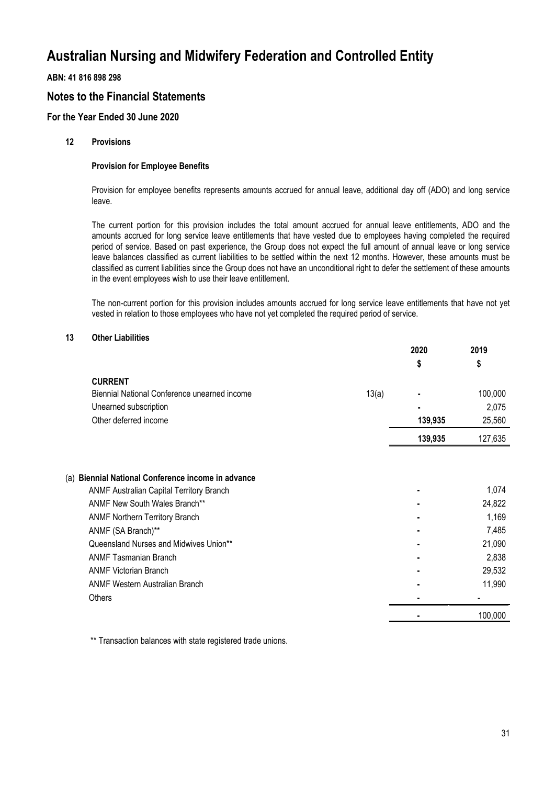## **ABN: 41 816 898 298**

## **Notes to the Financial Statements**

## **For the Year Ended 30 June 2020**

### **12 Provisions**

### **Provision for Employee Benefits**

Provision for employee benefits represents amounts accrued for annual leave, additional day off (ADO) and long service leave.

The current portion for this provision includes the total amount accrued for annual leave entitlements, ADO and the amounts accrued for long service leave entitlements that have vested due to employees having completed the required period of service. Based on past experience, the Group does not expect the full amount of annual leave or long service leave balances classified as current liabilities to be settled within the next 12 months. However, these amounts must be classified as current liabilities since the Group does not have an unconditional right to defer the settlement of these amounts in the event employees wish to use their leave entitlement.

The non-current portion for this provision includes amounts accrued for long service leave entitlements that have not yet vested in relation to those employees who have not yet completed the required period of service.

#### **13 Other Liabilities**

|                                                       | 2020    | 2019    |
|-------------------------------------------------------|---------|---------|
|                                                       | \$      | \$      |
| <b>CURRENT</b>                                        |         |         |
| Biennial National Conference unearned income<br>13(a) |         | 100,000 |
| Unearned subscription                                 |         | 2,075   |
| Other deferred income                                 | 139,935 | 25,560  |
|                                                       | 139,935 | 127,635 |
|                                                       |         |         |
| (a) Biennial National Conference income in advance    |         |         |
| <b>ANMF Australian Capital Territory Branch</b>       |         | 1,074   |
| <b>ANMF New South Wales Branch**</b>                  |         | 24,822  |
| <b>ANMF Northern Territory Branch</b>                 | ٠       | 1,169   |
| ANMF (SA Branch)**                                    |         | 7,485   |
| Queensland Nurses and Midwives Union**                |         | 21,090  |
| <b>ANMF Tasmanian Branch</b>                          |         | 2,838   |
| <b>ANMF Victorian Branch</b>                          |         | 29,532  |
| <b>ANMF Western Australian Branch</b>                 |         | 11,990  |
| <b>Others</b>                                         |         | -       |
|                                                       |         | 100,000 |

\*\* Transaction balances with state registered trade unions.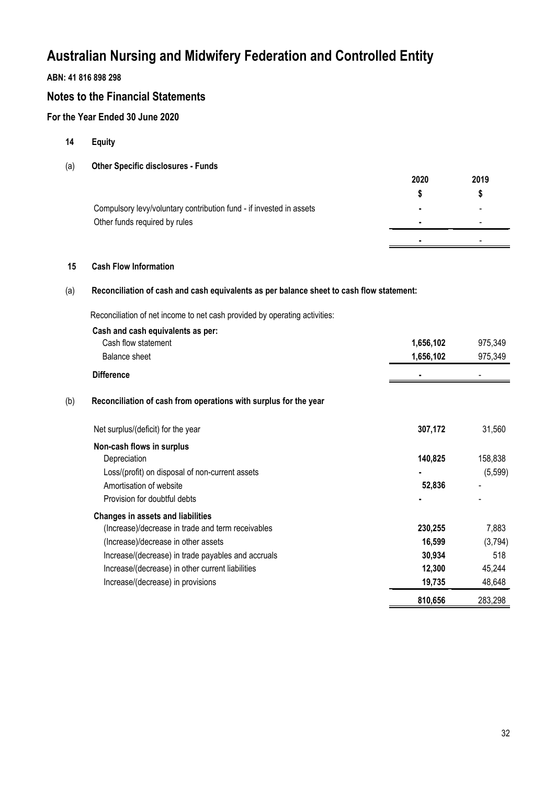## **ABN: 41 816 898 298**

## **Notes to the Financial Statements**

## **For the Year Ended 30 June 2020**

- **14 Equity**
- (a) **Other Specific disclosures Funds**

|                                                                     | 2020 | 2019 |
|---------------------------------------------------------------------|------|------|
|                                                                     |      |      |
| Compulsory levy/voluntary contribution fund - if invested in assets |      |      |
| Other funds required by rules                                       |      |      |
|                                                                     |      |      |

### **15 Cash Flow Information**

### (a) **Reconciliation of cash and cash equivalents as per balance sheet to cash flow statement:**

Reconciliation of net income to net cash provided by operating activities:

|     | Cash and cash equivalents as per:                                |           |          |
|-----|------------------------------------------------------------------|-----------|----------|
|     | Cash flow statement                                              | 1,656,102 | 975,349  |
|     | Balance sheet                                                    | 1,656,102 | 975,349  |
|     | <b>Difference</b>                                                |           |          |
| (b) | Reconciliation of cash from operations with surplus for the year |           |          |
|     | Net surplus/(deficit) for the year                               | 307,172   | 31,560   |
|     | Non-cash flows in surplus                                        |           |          |
|     | Depreciation                                                     | 140,825   | 158,838  |
|     | Loss/(profit) on disposal of non-current assets                  |           | (5, 599) |
|     | Amortisation of website                                          | 52,836    |          |
|     | Provision for doubtful debts                                     |           |          |
|     | <b>Changes in assets and liabilities</b>                         |           |          |
|     | (Increase)/decrease in trade and term receivables                | 230,255   | 7,883    |
|     | (Increase)/decrease in other assets                              | 16,599    | (3,794)  |
|     | Increase/(decrease) in trade payables and accruals               | 30,934    | 518      |
|     | Increase/(decrease) in other current liabilities                 | 12,300    | 45,244   |
|     | Increase/(decrease) in provisions                                | 19,735    | 48,648   |
|     |                                                                  | 810,656   | 283,298  |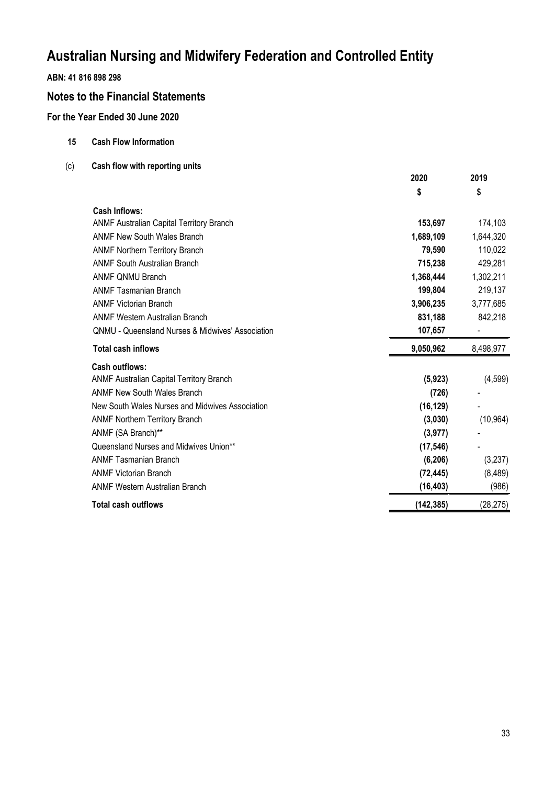## **ABN: 41 816 898 298**

## **Notes to the Financial Statements**

## **For the Year Ended 30 June 2020**

- **15 Cash Flow Information**
- (c) **Cash flow with reporting units**

|                                                             | 2020       | 2019      |
|-------------------------------------------------------------|------------|-----------|
|                                                             | \$         | \$        |
| Cash Inflows:                                               |            |           |
| <b>ANMF Australian Capital Territory Branch</b>             | 153,697    | 174,103   |
| <b>ANMF New South Wales Branch</b>                          | 1,689,109  | 1,644,320 |
| <b>ANMF Northern Territory Branch</b>                       | 79,590     | 110,022   |
| <b>ANMF South Australian Branch</b>                         | 715,238    | 429,281   |
| <b>ANMF ONMU Branch</b>                                     | 1,368,444  | 1,302,211 |
| <b>ANMF Tasmanian Branch</b>                                | 199,804    | 219,137   |
| <b>ANMF Victorian Branch</b>                                | 3,906,235  | 3,777,685 |
| <b>ANMF Western Australian Branch</b>                       | 831,188    | 842,218   |
| <b>QNMU - Queensland Nurses &amp; Midwives' Association</b> | 107,657    |           |
| <b>Total cash inflows</b>                                   | 9,050,962  | 8,498,977 |
| <b>Cash outflows:</b>                                       |            |           |
| <b>ANMF Australian Capital Territory Branch</b>             | (5, 923)   | (4,599)   |
| <b>ANMF New South Wales Branch</b>                          | (726)      |           |
| New South Wales Nurses and Midwives Association             | (16, 129)  |           |
| <b>ANMF Northern Territory Branch</b>                       | (3,030)    | (10, 964) |
| ANMF (SA Branch)**                                          | (3, 977)   |           |
| Queensland Nurses and Midwives Union**                      | (17, 546)  |           |
| <b>ANMF Tasmanian Branch</b>                                | (6,206)    | (3,237)   |
| <b>ANMF Victorian Branch</b>                                | (72, 445)  | (8,489)   |
| <b>ANMF Western Australian Branch</b>                       | (16, 403)  | (986)     |
| <b>Total cash outflows</b>                                  | (142, 385) | (28, 275) |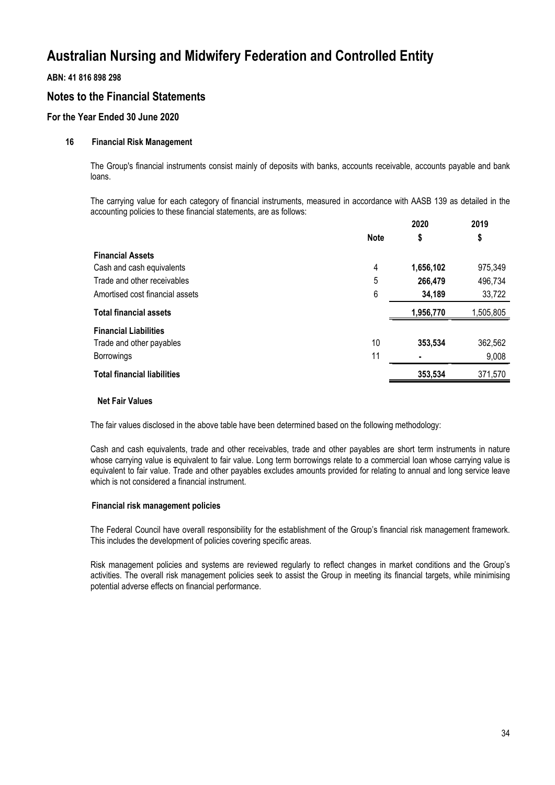### **ABN: 41 816 898 298**

## **Notes to the Financial Statements**

## **For the Year Ended 30 June 2020**

### **16 Financial Risk Management**

The Group's financial instruments consist mainly of deposits with banks, accounts receivable, accounts payable and bank loans.

The carrying value for each category of financial instruments, measured in accordance with AASB 139 as detailed in the accounting policies to these financial statements, are as follows: **2020 2019**

|                                    |             | 2020      | 2019      |
|------------------------------------|-------------|-----------|-----------|
|                                    | <b>Note</b> | \$        | \$        |
| <b>Financial Assets</b>            |             |           |           |
| Cash and cash equivalents          | 4           | 1,656,102 | 975,349   |
| Trade and other receivables        | 5           | 266,479   | 496,734   |
| Amortised cost financial assets    | 6           | 34,189    | 33,722    |
| <b>Total financial assets</b>      |             | 1,956,770 | 1,505,805 |
| <b>Financial Liabilities</b>       |             |           |           |
| Trade and other payables           | 10          | 353,534   | 362,562   |
| <b>Borrowings</b>                  | 11          | ٠         | 9,008     |
| <b>Total financial liabilities</b> |             | 353,534   | 371,570   |
|                                    |             |           |           |

#### **Net Fair Values**

The fair values disclosed in the above table have been determined based on the following methodology:

Cash and cash equivalents, trade and other receivables, trade and other payables are short term instruments in nature whose carrying value is equivalent to fair value. Long term borrowings relate to a commercial loan whose carrying value is equivalent to fair value. Trade and other payables excludes amounts provided for relating to annual and long service leave which is not considered a financial instrument.

#### **Financial risk management policies**

The Federal Council have overall responsibility for the establishment of the Group's financial risk management framework. This includes the development of policies covering specific areas.

Risk management policies and systems are reviewed regularly to reflect changes in market conditions and the Group's activities. The overall risk management policies seek to assist the Group in meeting its financial targets, while minimising potential adverse effects on financial performance.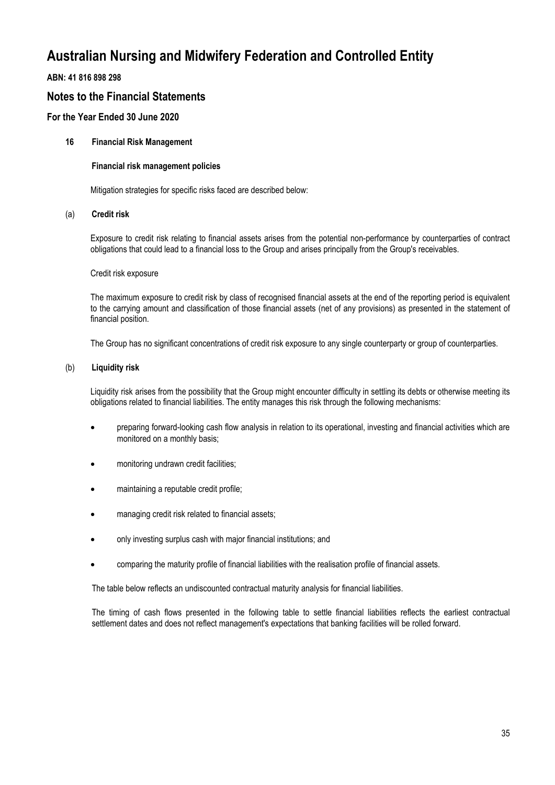## **ABN: 41 816 898 298**

## **Notes to the Financial Statements**

## **For the Year Ended 30 June 2020**

### **16 Financial Risk Management**

#### **Financial risk management policies**

Mitigation strategies for specific risks faced are described below:

#### (a) **Credit risk**

Exposure to credit risk relating to financial assets arises from the potential non-performance by counterparties of contract obligations that could lead to a financial loss to the Group and arises principally from the Group's receivables.

#### Credit risk exposure

The maximum exposure to credit risk by class of recognised financial assets at the end of the reporting period is equivalent to the carrying amount and classification of those financial assets (net of any provisions) as presented in the statement of financial position.

The Group has no significant concentrations of credit risk exposure to any single counterparty or group of counterparties.

#### (b) **Liquidity risk**

Liquidity risk arises from the possibility that the Group might encounter difficulty in settling its debts or otherwise meeting its obligations related to financial liabilities. The entity manages this risk through the following mechanisms:

- preparing forward-looking cash flow analysis in relation to its operational, investing and financial activities which are monitored on a monthly basis;
- monitoring undrawn credit facilities;
- maintaining a reputable credit profile;
- managing credit risk related to financial assets;
- only investing surplus cash with major financial institutions; and
- comparing the maturity profile of financial liabilities with the realisation profile of financial assets.

The table below reflects an undiscounted contractual maturity analysis for financial liabilities.

The timing of cash flows presented in the following table to settle financial liabilities reflects the earliest contractual settlement dates and does not reflect management's expectations that banking facilities will be rolled forward.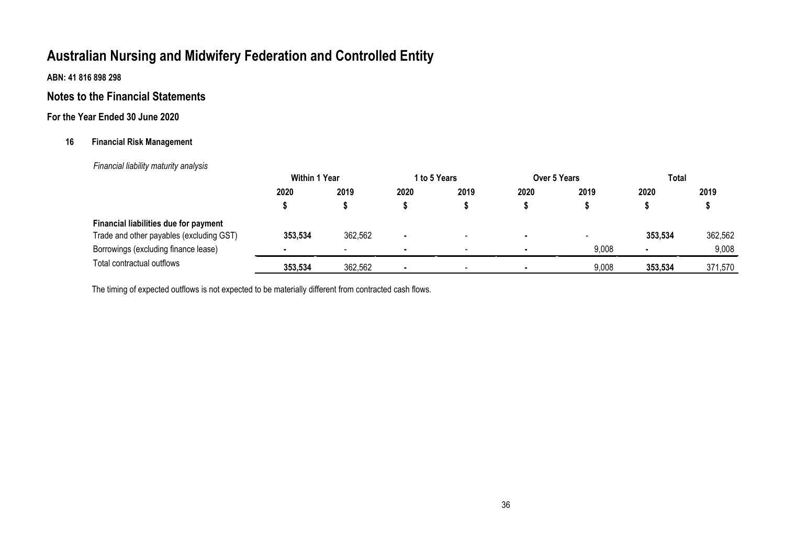**ABN: 41 816 898 298**

## **Notes to the Financial Statements**

## **For the Year Ended 30 June 2020**

## **16 Financial Risk Management**

 *Financial liability maturity analysis*

|                                          | <b>Within 1 Year</b> |         | 1 to 5 Years |                          | <b>Over 5 Years</b> |                          | Total          |         |
|------------------------------------------|----------------------|---------|--------------|--------------------------|---------------------|--------------------------|----------------|---------|
|                                          | 2020                 | 2019    | 2020         | 2019                     | 2020                | 2019                     | 2020           | 2019    |
|                                          |                      |         |              |                          |                     |                          |                |         |
| Financial liabilities due for payment    |                      |         |              |                          |                     |                          |                |         |
| Trade and other payables (excluding GST) | 353,534              | 362,562 | ٠            | $\overline{\phantom{0}}$ |                     | $\overline{\phantom{a}}$ | 353,534        | 362,562 |
| Borrowings (excluding finance lease)     |                      |         | ٠            | $\overline{\phantom{0}}$ |                     | 9,008                    | $\blacksquare$ | 9,008   |
| Total contractual outflows               | 353,534              | 362,562 |              |                          |                     | 9,008                    | 353,534        | 371,570 |

The timing of expected outflows is not expected to be materially different from contracted cash flows.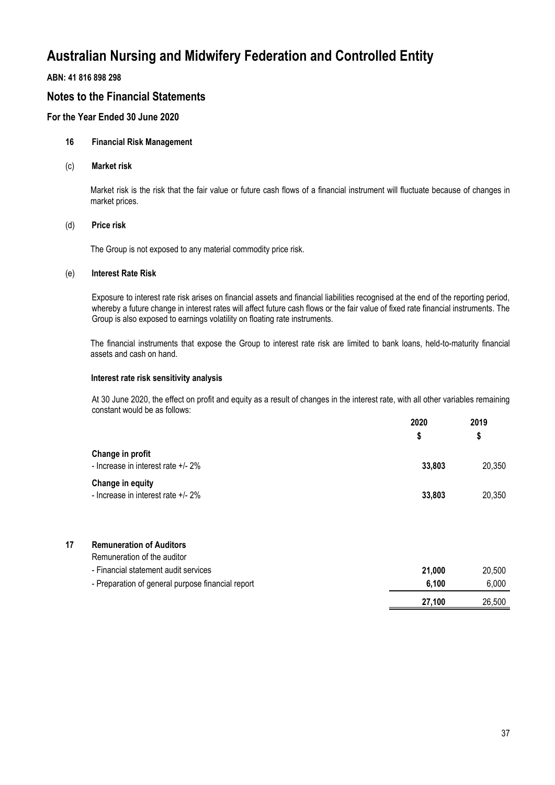### **ABN: 41 816 898 298**

## **Notes to the Financial Statements**

## **For the Year Ended 30 June 2020**

### **16 Financial Risk Management**

(c) **Market risk**

Market risk is the risk that the fair value or future cash flows of a financial instrument will fluctuate because of changes in market prices.

#### (d) **Price risk**

The Group is not exposed to any material commodity price risk.

### (e) **Interest Rate Risk**

Exposure to interest rate risk arises on financial assets and financial liabilities recognised at the end of the reporting period, whereby a future change in interest rates will affect future cash flows or the fair value of fixed rate financial instruments. The Group is also exposed to earnings volatility on floating rate instruments.

The financial instruments that expose the Group to interest rate risk are limited to bank loans, held-to-maturity financial assets and cash on hand.

#### **Interest rate risk sensitivity analysis**

At 30 June 2020, the effect on profit and equity as a result of changes in the interest rate, with all other variables remaining constant would be as follows: **2020**

|                                                        | 2020<br>S | 2019<br>\$ |
|--------------------------------------------------------|-----------|------------|
| Change in profit<br>- Increase in interest rate +/- 2% | 33,803    | 20,350     |
| Change in equity<br>- Increase in interest rate +/- 2% | 33,803    | 20,350     |

# **17 Remuneration of Auditors**

|                                                   | 27.100 | 26.500 |
|---------------------------------------------------|--------|--------|
| - Preparation of general purpose financial report | 6.100  | 6.000  |
| - Financial statement audit services              | 21.000 | 20.500 |
| Remuneration of the auditor                       |        |        |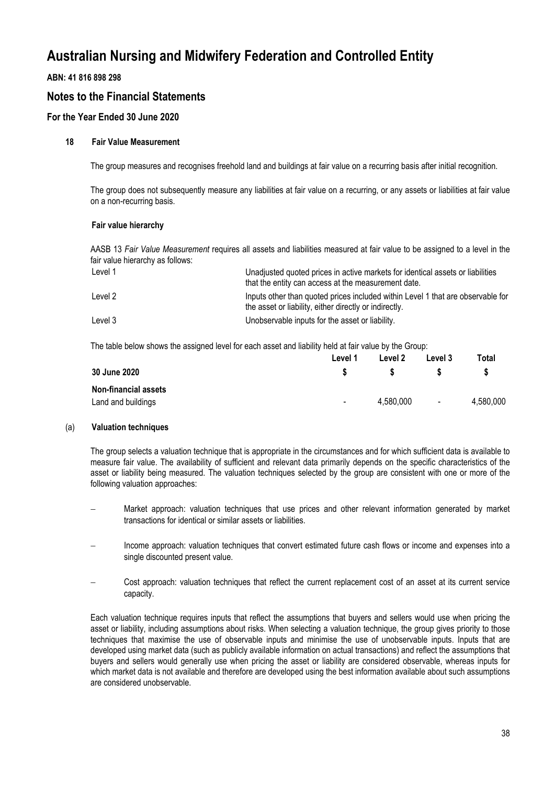## **ABN: 41 816 898 298**

## **Notes to the Financial Statements**

## **For the Year Ended 30 June 2020**

### **18 Fair Value Measurement**

The group measures and recognises freehold land and buildings at fair value on a recurring basis after initial recognition.

The group does not subsequently measure any liabilities at fair value on a recurring, or any assets or liabilities at fair value on a non-recurring basis.

#### **Fair value hierarchy**

AASB 13 *Fair Value Measurement* requires all assets and liabilities measured at fair value to be assigned to a level in the fair value hierarchy as follows:

| Level 1 | Unadjusted quoted prices in active markets for identical assets or liabilities<br>that the entity can access at the measurement date.     |
|---------|-------------------------------------------------------------------------------------------------------------------------------------------|
| Level 2 | Inputs other than quoted prices included within Level 1 that are observable for<br>the asset or liability, either directly or indirectly. |
| Level 3 | Unobservable inputs for the asset or liability.                                                                                           |

The table below shows the assigned level for each asset and liability held at fair value by the Group:

|                             | Level 1 | Level 2   | Level 3 | Total     |
|-----------------------------|---------|-----------|---------|-----------|
| 30 June 2020                |         |           |         |           |
| <b>Non-financial assets</b> |         |           |         |           |
| Land and buildings          | $\sim$  | 4.580.000 | $\sim$  | 4,580,000 |

#### (a) **Valuation techniques**

The group selects a valuation technique that is appropriate in the circumstances and for which sufficient data is available to measure fair value. The availability of sufficient and relevant data primarily depends on the specific characteristics of the asset or liability being measured. The valuation techniques selected by the group are consistent with one or more of the following valuation approaches:

- Market approach: valuation techniques that use prices and other relevant information generated by market transactions for identical or similar assets or liabilities.
- Income approach: valuation techniques that convert estimated future cash flows or income and expenses into a single discounted present value.
- Cost approach: valuation techniques that reflect the current replacement cost of an asset at its current service capacity.

Each valuation technique requires inputs that reflect the assumptions that buyers and sellers would use when pricing the asset or liability, including assumptions about risks. When selecting a valuation technique, the group gives priority to those techniques that maximise the use of observable inputs and minimise the use of unobservable inputs. Inputs that are developed using market data (such as publicly available information on actual transactions) and reflect the assumptions that buyers and sellers would generally use when pricing the asset or liability are considered observable, whereas inputs for which market data is not available and therefore are developed using the best information available about such assumptions are considered unobservable.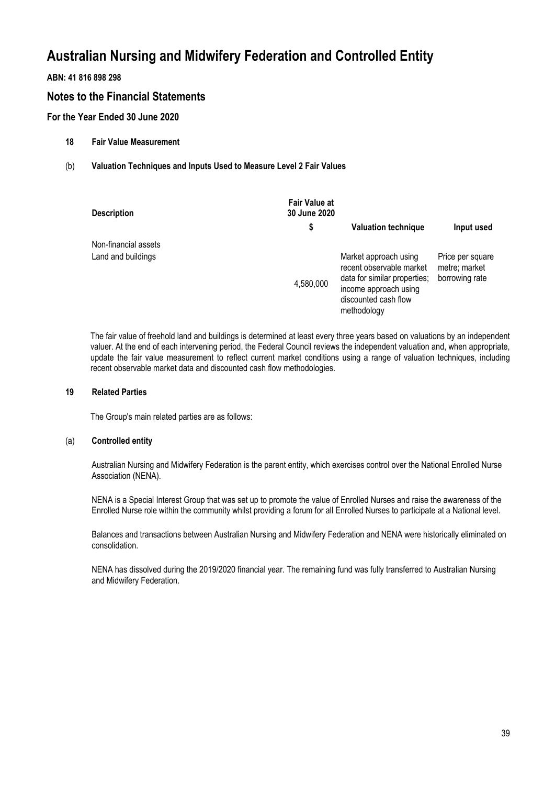## **ABN: 41 816 898 298**

## **Notes to the Financial Statements**

## **For the Year Ended 30 June 2020**

- **18 Fair Value Measurement**
- (b) **Valuation Techniques and Inputs Used to Measure Level 2 Fair Values**

| <b>Description</b>   | <b>Fair Value at</b><br>30 June 2020 |                                                                                                                                                   |                                                     |
|----------------------|--------------------------------------|---------------------------------------------------------------------------------------------------------------------------------------------------|-----------------------------------------------------|
|                      | \$                                   | <b>Valuation technique</b>                                                                                                                        | Input used                                          |
| Non-financial assets |                                      |                                                                                                                                                   |                                                     |
| Land and buildings   | 4,580,000                            | Market approach using<br>recent observable market<br>data for similar properties:<br>income approach using<br>discounted cash flow<br>methodology | Price per square<br>metre; market<br>borrowing rate |

The fair value of freehold land and buildings is determined at least every three years based on valuations by an independent valuer. At the end of each intervening period, the Federal Council reviews the independent valuation and, when appropriate, update the fair value measurement to reflect current market conditions using a range of valuation techniques, including recent observable market data and discounted cash flow methodologies.

#### **19 Related Parties**

The Group's main related parties are as follows:

#### (a) **Controlled entity**

Australian Nursing and Midwifery Federation is the parent entity, which exercises control over the National Enrolled Nurse Association (NENA).

NENA is a Special Interest Group that was set up to promote the value of Enrolled Nurses and raise the awareness of the Enrolled Nurse role within the community whilst providing a forum for all Enrolled Nurses to participate at a National level.

Balances and transactions between Australian Nursing and Midwifery Federation and NENA were historically eliminated on consolidation.

NENA has dissolved during the 2019/2020 financial year. The remaining fund was fully transferred to Australian Nursing and Midwifery Federation.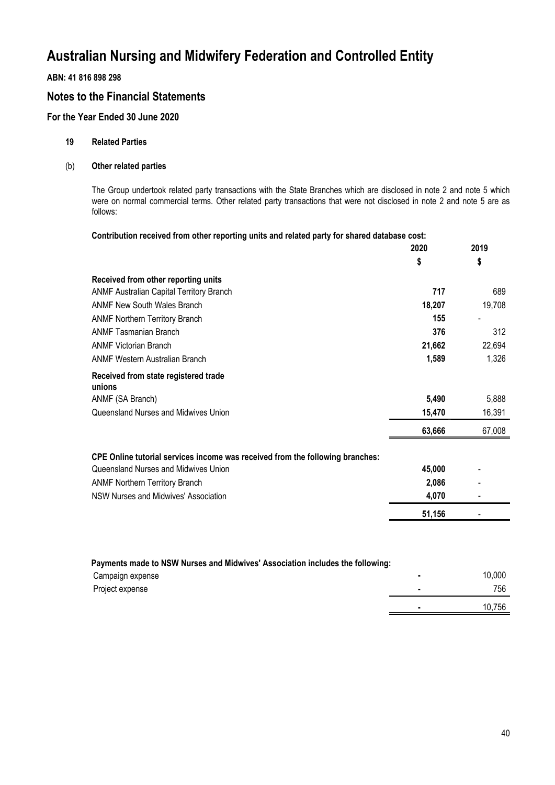## **ABN: 41 816 898 298**

## **Notes to the Financial Statements**

## **For the Year Ended 30 June 2020**

#### **19 Related Parties**

### (b) **Other related parties**

The Group undertook related party transactions with the State Branches which are disclosed in note 2 and note 5 which were on normal commercial terms. Other related party transactions that were not disclosed in note 2 and note 5 are as follows:

**2020**

**2019**

#### **Contribution received from other reporting units and related party for shared database cost:**

|                                                                               | 2020   | 2019   |
|-------------------------------------------------------------------------------|--------|--------|
|                                                                               | \$     | \$     |
| Received from other reporting units                                           |        |        |
| ANMF Australian Capital Territory Branch                                      | 717    | 689    |
| <b>ANMF New South Wales Branch</b>                                            | 18,207 | 19,708 |
| <b>ANMF Northern Territory Branch</b>                                         | 155    |        |
| <b>ANMF Tasmanian Branch</b>                                                  | 376    | 312    |
| <b>ANMF Victorian Branch</b>                                                  | 21,662 | 22,694 |
| <b>ANMF Western Australian Branch</b>                                         | 1,589  | 1,326  |
| Received from state registered trade<br>unions                                |        |        |
| ANMF (SA Branch)                                                              | 5,490  | 5,888  |
| Queensland Nurses and Midwives Union                                          | 15,470 | 16,391 |
|                                                                               | 63,666 | 67,008 |
| CPE Online tutorial services income was received from the following branches: |        |        |
| Queensland Nurses and Midwives Union                                          | 45,000 |        |
| <b>ANMF Northern Territory Branch</b>                                         | 2,086  |        |
| NSW Nurses and Midwives' Association                                          | 4,070  |        |
|                                                                               | 51,156 | ٠      |
|                                                                               |        |        |

| Payments made to NSW Nurses and Midwives' Association includes the following: |        |
|-------------------------------------------------------------------------------|--------|
| Campaign expense                                                              | 10.000 |
| Project expense                                                               | 756    |
|                                                                               | 10.756 |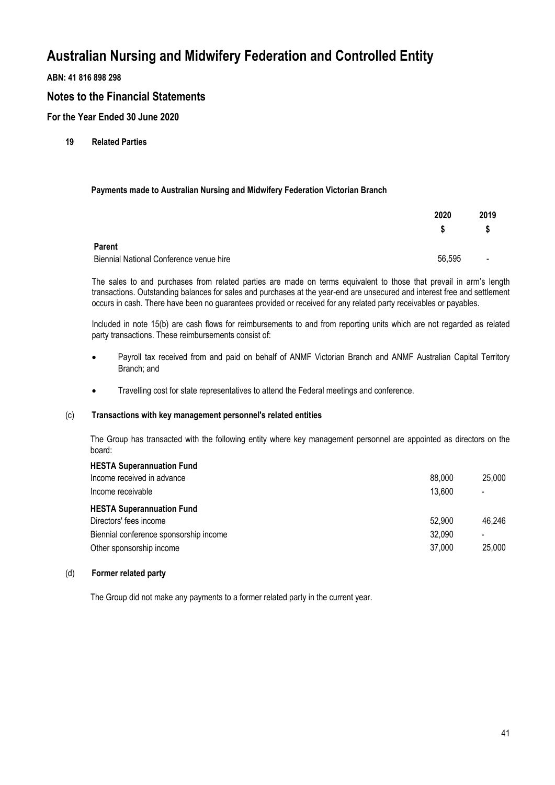**ABN: 41 816 898 298**

## **Notes to the Financial Statements**

**For the Year Ended 30 June 2020**

**19 Related Parties**

### **Payments made to Australian Nursing and Midwifery Federation Victorian Branch**

|                                         | 2020   | 2019                     |
|-----------------------------------------|--------|--------------------------|
|                                         | S      |                          |
| <b>Parent</b>                           |        |                          |
| Biennial National Conference venue hire | 56,595 | $\overline{\phantom{a}}$ |

The sales to and purchases from related parties are made on terms equivalent to those that prevail in arm's length transactions. Outstanding balances for sales and purchases at the year-end are unsecured and interest free and settlement occurs in cash. There have been no guarantees provided or received for any related party receivables or payables.

Included in note 15(b) are cash flows for reimbursements to and from reporting units which are not regarded as related party transactions. These reimbursements consist of:

- Payroll tax received from and paid on behalf of ANMF Victorian Branch and ANMF Australian Capital Territory Branch; and
- Travelling cost for state representatives to attend the Federal meetings and conference.

### (c) **Transactions with key management personnel's related entities**

The Group has transacted with the following entity where key management personnel are appointed as directors on the board:

| <b>HESTA Superannuation Fund</b>       |        |                          |
|----------------------------------------|--------|--------------------------|
| Income received in advance             | 88,000 | 25,000                   |
| Income receivable                      | 13.600 | $\overline{\phantom{a}}$ |
| <b>HESTA Superannuation Fund</b>       |        |                          |
| Directors' fees income                 | 52.900 | 46,246                   |
| Biennial conference sponsorship income | 32.090 | $\blacksquare$           |
| Other sponsorship income               | 37,000 | 25,000                   |
|                                        |        |                          |

#### (d) **Former related party**

The Group did not make any payments to a former related party in the current year.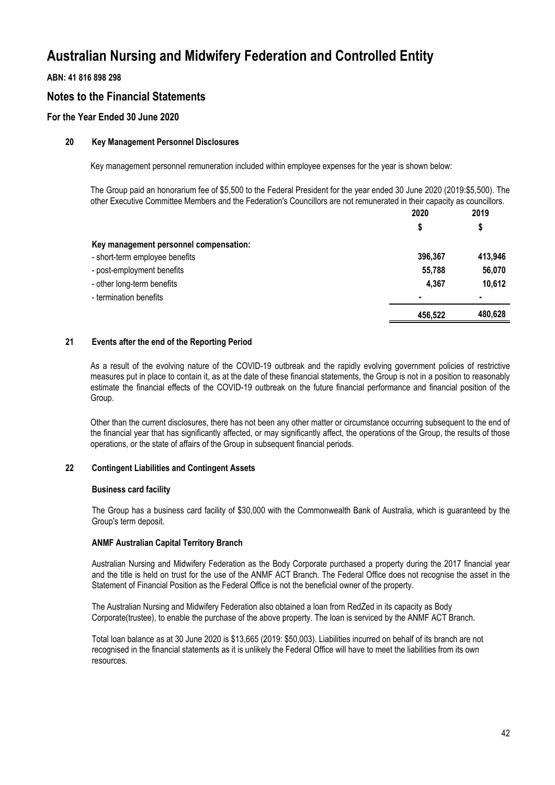## **ABN: 41 816 898 298**

## **Notes to the Financial Statements**

## **For the Year Ended 30 June 2020**

#### **20 Key Management Personnel Disclosures**

Key management personnel remuneration included within employee expenses for the year is shown below:

The Group paid an honorarium fee of \$5,500 to the Federal President for the year ended 30 June 2020 (2019:\$5,500). The other Executive Committee Members and the Federation's Councillors are not remunerated in their capacity as councillors.

**2020**

**2019**

|                                        | ZUZU    | 20 I J<br>\$   |
|----------------------------------------|---------|----------------|
|                                        | \$      |                |
| Key management personnel compensation: |         |                |
| - short-term employee benefits         | 396,367 | 413,946        |
| - post-employment benefits             | 55,788  | 56,070         |
| - other long-term benefits             | 4,367   | 10,612         |
| - termination benefits                 | ٠       | $\blacksquare$ |
|                                        | 456,522 | 480,628        |

### **21 Events after the end of the Reporting Period**

As a result of the evolving nature of the COVID-19 outbreak and the rapidly evolving government policies of restrictive measures put in place to contain it, as at the date of these financial statements, the Group is not in a position to reasonably estimate the financial effects of the COVID-19 outbreak on the future financial performance and financial position of the Group.

Other than the current disclosures, there has not been any other matter or circumstance occurring subsequent to the end of the financial year that has significantly affected, or may significantly affect, the operations of the Group, the results of those operations, or the state of affairs of the Group in subsequent financial periods.

#### **22 Contingent Liabilities and Contingent Assets**

#### **Business card facility**

The Group has a business card facility of \$30,000 with the Commonwealth Bank of Australia, which is guaranteed by the Group's term deposit.

#### **ANMF Australian Capital Territory Branch**

Australian Nursing and Midwifery Federation as the Body Corporate purchased a property during the 2017 financial year and the title is held on trust for the use of the ANMF ACT Branch. The Federal Office does not recognise the asset in the Statement of Financial Position as the Federal Office is not the beneficial owner of the property.

The Australian Nursing and Midwifery Federation also obtained a loan from RedZed in its capacity as Body Corporate(trustee), to enable the purchase of the above property. The loan is serviced by the ANMF ACT Branch.

Total loan balance as at 30 June 2020 is \$13,665 (2019: \$50,003). Liabilities incurred on behalf of its branch are not recognised in the financial statements as it is unlikely the Federal Office will have to meet the liabilities from its own resources.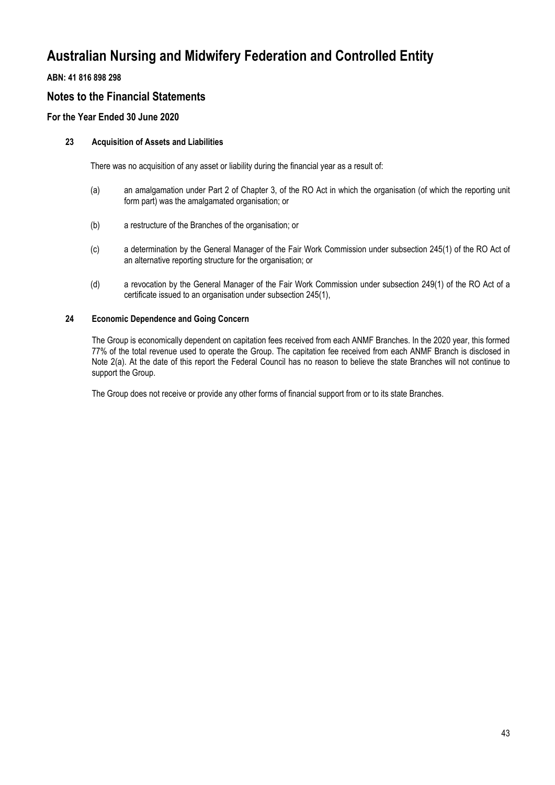## **ABN: 41 816 898 298**

## **Notes to the Financial Statements**

## **For the Year Ended 30 June 2020**

### **23 Acquisition of Assets and Liabilities**

There was no acquisition of any asset or liability during the financial year as a result of:

- (a) an amalgamation under Part 2 of Chapter 3, of the RO Act in which the organisation (of which the reporting unit form part) was the amalgamated organisation; or
- (b) a restructure of the Branches of the organisation; or
- (c) a determination by the General Manager of the Fair Work Commission under subsection 245(1) of the RO Act of an alternative reporting structure for the organisation; or
- (d) a revocation by the General Manager of the Fair Work Commission under subsection 249(1) of the RO Act of a certificate issued to an organisation under subsection 245(1),

#### **24 Economic Dependence and Going Concern**

The Group is economically dependent on capitation fees received from each ANMF Branches. In the 2020 year, this formed 77% of the total revenue used to operate the Group. The capitation fee received from each ANMF Branch is disclosed in Note 2(a). At the date of this report the Federal Council has no reason to believe the state Branches will not continue to support the Group.

The Group does not receive or provide any other forms of financial support from or to its state Branches.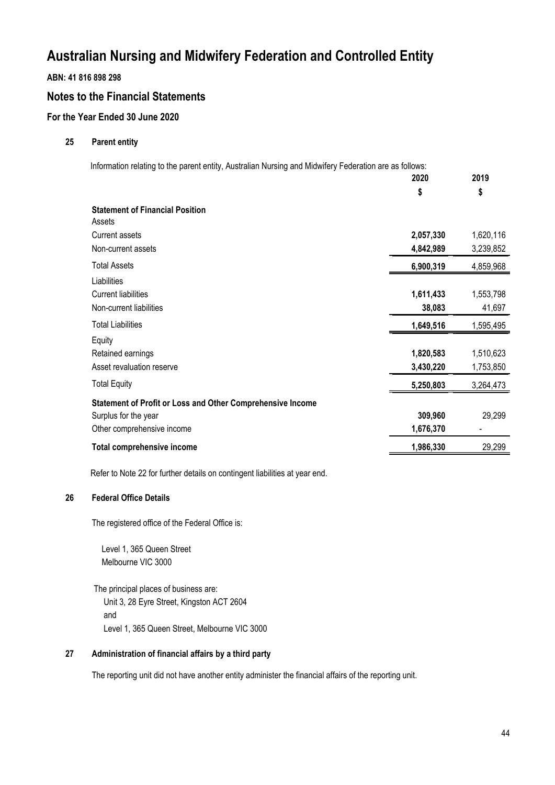**ABN: 41 816 898 298**

## **Notes to the Financial Statements**

## **For the Year Ended 30 June 2020**

### **25 Parent entity**

Information relating to the parent entity, Australian Nursing and Midwifery Federation are as follows:

|                                                            | 2020      | 2019      |
|------------------------------------------------------------|-----------|-----------|
|                                                            | \$        | \$        |
| <b>Statement of Financial Position</b>                     |           |           |
| Assets                                                     |           |           |
| <b>Current assets</b>                                      | 2,057,330 | 1,620,116 |
| Non-current assets                                         | 4,842,989 | 3,239,852 |
| <b>Total Assets</b>                                        | 6,900,319 | 4,859,968 |
| Liabilities                                                |           |           |
| <b>Current liabilities</b>                                 | 1,611,433 | 1,553,798 |
| Non-current liabilities                                    | 38,083    | 41,697    |
| <b>Total Liabilities</b>                                   | 1,649,516 | 1,595,495 |
| Equity                                                     |           |           |
| Retained earnings                                          | 1,820,583 | 1,510,623 |
| Asset revaluation reserve                                  | 3,430,220 | 1,753,850 |
| <b>Total Equity</b>                                        | 5,250,803 | 3,264,473 |
| Statement of Profit or Loss and Other Comprehensive Income |           |           |
| Surplus for the year                                       | 309,960   | 29,299    |
| Other comprehensive income                                 | 1,676,370 |           |
| <b>Total comprehensive income</b>                          | 1,986,330 | 29,299    |
|                                                            |           |           |

Refer to Note 22 for further details on contingent liabilities at year end.

### **26 Federal Office Details**

The registered office of the Federal Office is:

Level 1, 365 Queen Street Melbourne VIC 3000

The principal places of business are: Unit 3, 28 Eyre Street, Kingston ACT 2604 and Level 1, 365 Queen Street, Melbourne VIC 3000

### **27 Administration of financial affairs by a third party**

The reporting unit did not have another entity administer the financial affairs of the reporting unit.

**2019**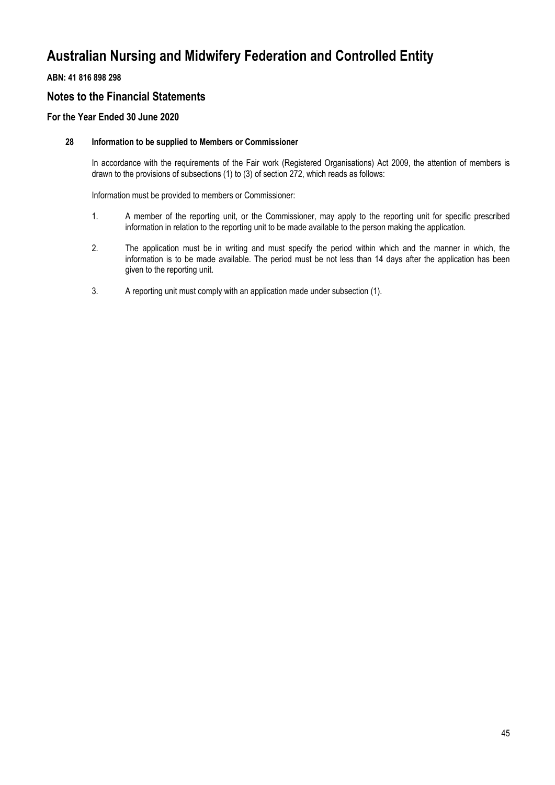## **ABN: 41 816 898 298**

## **Notes to the Financial Statements**

## **For the Year Ended 30 June 2020**

### **28 Information to be supplied to Members or Commissioner**

In accordance with the requirements of the Fair work (Registered Organisations) Act 2009, the attention of members is drawn to the provisions of subsections (1) to (3) of section 272, which reads as follows:

Information must be provided to members or Commissioner:

- 1. A member of the reporting unit, or the Commissioner, may apply to the reporting unit for specific prescribed information in relation to the reporting unit to be made available to the person making the application.
- 2. The application must be in writing and must specify the period within which and the manner in which, the information is to be made available. The period must be not less than 14 days after the application has been given to the reporting unit.
- 3. A reporting unit must comply with an application made under subsection (1).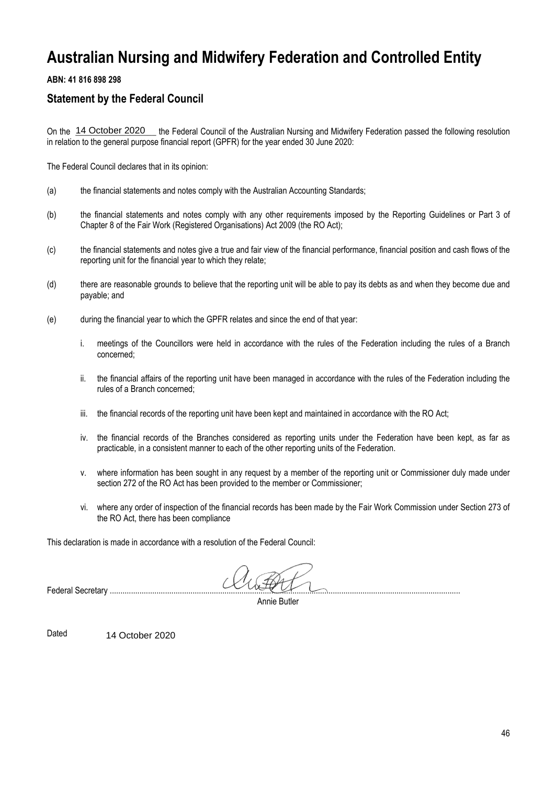## **ABN: 41 816 898 298**

## **Statement by the Federal Council**

On the 14 October 2020 \_ the Federal Council of the Australian Nursing and Midwifery Federation passed the following resolution in relation to the general purpose financial report (GPFR) for the year ended 30 June 2020:

The Federal Council declares that in its opinion:

- (a) the financial statements and notes comply with the Australian Accounting Standards;
- (b) the financial statements and notes comply with any other requirements imposed by the Reporting Guidelines or Part 3 of Chapter 8 of the Fair Work (Registered Organisations) Act 2009 (the RO Act); 14 October 2020 the F<br>n to the general purpose finar<br>eral Council declares that in it<br>the financial statements and<br>the financial statements and<br>chapter 8 of the Fair Work (<br>the financial statements and<br>reporting unit for t
- (c) the financial statements and notes give a true and fair view of the financial performance, financial position and cash flows of the reporting unit for the financial year to which they relate;
- (d) there are reasonable grounds to believe that the reporting unit will be able to pay its debts as and when they become due and payable; and
- (e) during the financial year to which the GPFR relates and since the end of that year:
	- i. meetings of the Councillors were held in accordance with the rules of the Federation including the rules of a Branch concerned;
	- ii. the financial affairs of the reporting unit have been managed in accordance with the rules of the Federation including the rules of a Branch concerned;
	- iii. the financial records of the reporting unit have been kept and maintained in accordance with the RO Act;
	- iv. the financial records of the Branches considered as reporting units under the Federation have been kept, as far as practicable, in a consistent manner to each of the other reporting units of the Federation.
	- v. where information has been sought in any request by a member of the reporting unit or Commissioner duly made under section 272 of the RO Act has been provided to the member or Commissioner;
	- vi. where any order of inspection of the financial records has been made by the Fair Work Commission under Section 273 of the RO Act, there has been compliance

This declaration is made in accordance with a resolution of the Federal Council:

Federal Secretary .....................................................................................................................................................................

Annie Butler

Dated 14 October 2020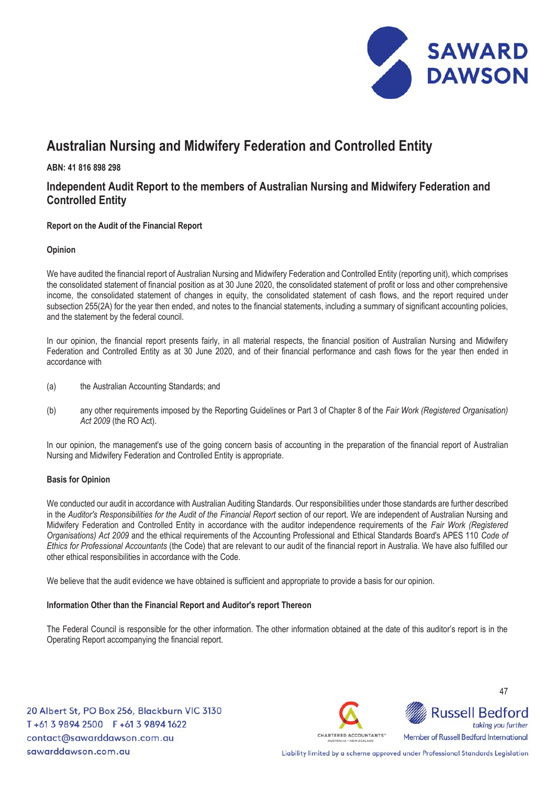

**ABN: 41 816 898 298** 

## **Independent Audit Report to the members of Australian Nursing and Midwifery Federation and Controlled Entity**

 $\overline{a}$ **Report on the Audit of the Financial Report** 

### **Opinion**

We have audited the financial report of Australian Nursing and Midwifery Federation and Controlled Entity (reporting unit), which comprises the consolidated statement of financial position as at 30 June 2020, the consolidated statement of profit or loss and other comprehensive income, the consolidated statement of changes in equity, the consolidated statement of cash flows, and the report required under subsection 255(2A) for the year then ended, and notes to the financial statements, including a summary of significant accounting policies, and the statement by the federal council.

In our opinion, the financial report presents fairly, in all material respects, the financial position of Australian Nursing and Midwifery Federation and Controlled Entity as at 30 June 2020, and of their financial performance and cash flows for the year then ended in accordance with

- (a) the Australian Accounting Standards; and
- (b) any other requirements imposed by the Reporting Guidelines or Part 3 of Chapter 8 of the *Fair Work (Registered Organisation) Act 2009* (the RO Act).

In our opinion, the management's use of the going concern basis of accounting in the preparation of the financial report of Australian Nursing and Midwifery Federation and Controlled Entity is appropriate.

#### **Basis for Opinion**

We conducted our audit in accordance with Australian Auditing Standards. Our responsibilities under those standards are further described in the *Auditor's Responsibilities for the Audit of the Financial Report* section of our report. We are independent of Australian Nursing and Midwifery Federation and Controlled Entity in accordance with the auditor independence requirements of the *Fair Work (Registered Organisations) Act 2009* and the ethical requirements of the Accounting Professional and Ethical Standards Board's APES 110 *Code of Ethics for Professional Accountants* (the Code) that are relevant to our audit of the financial report in Australia. We have also fulfilled our other ethical responsibilities in accordance with the Code.

We believe that the audit evidence we have obtained is sufficient and appropriate to provide a basis for our opinion.

#### **Information Other than the Financial Report and Auditor's report Thereon**

The Federal Council is responsible for the other information. The other information obtained at the date of this auditor's report is in the Operating Report accompanying the financial report.

20 Albert St, PO Box 256, Blackburn VIC 3130 T+61 3 9894 2500 F+61 3 9894 1622 contact@sawarddawson.com.au sawarddawson.com.au



**Russell Bedford** taking you further Member of Russell Bedford International

47

Liability limited by a scheme approved under Professional Standards Legislation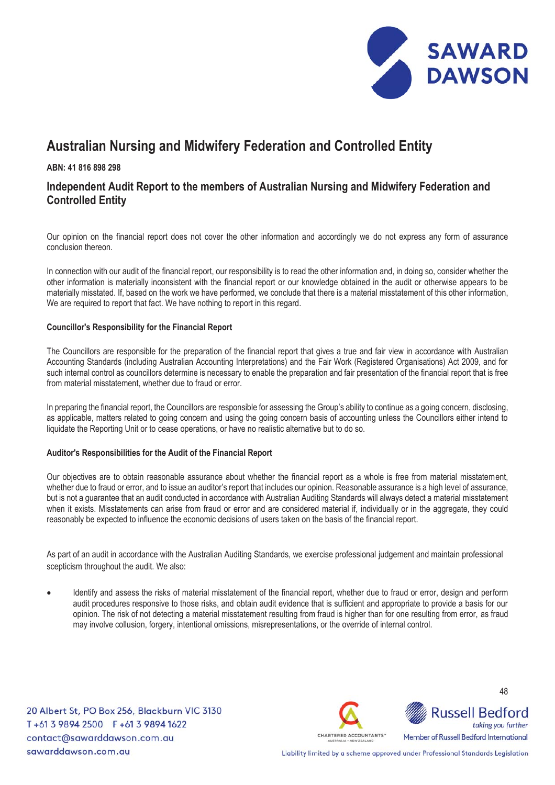

### **ABN: 41 816 898 298**

## **Independent Audit Report to the members of Australian Nursing and Midwifery Federation and Controlled Entity**

Our opinion on the financial report does not cover the other information and accordingly we do not express any form of assurance conclusion thereon.

In connection with our audit of the financial report, our responsibility is to read the other information and, in doing so, consider whether the other information is materially inconsistent with the financial report or our knowledge obtained in the audit or otherwise appears to be materially misstated. If, based on the work we have performed, we conclude that there is a material misstatement of this other information, We are required to report that fact. We have nothing to report in this regard.

#### **Councillor's Responsibility for the Financial Report**

The Councillors are responsible for the preparation of the financial report that gives a true and fair view in accordance with Australian Accounting Standards (including Australian Accounting Interpretations) and the Fair Work (Registered Organisations) Act 2009, and for such internal control as councillors determine is necessary to enable the preparation and fair presentation of the financial report that is free from material misstatement, whether due to fraud or error.

 In preparing the financial report, the Councillors are responsible for assessing the Group's ability to continue as a going concern, disclosing, as applicable, matters related to going concern and using the going concern basis of accounting unless the Councillors either intend to liquidate the Reporting Unit or to cease operations, or have no realistic alternative but to do so.

### **Auditor's Responsibilities for the Audit of the Financial Report**

Our objectives are to obtain reasonable assurance about whether the financial report as a whole is free from material misstatement, whether due to fraud or error, and to issue an auditor's report that includes our opinion. Reasonable assurance is a high level of assurance, but is not a guarantee that an audit conducted in accordance with Australian Auditing Standards will always detect a material misstatement when it exists. Misstatements can arise from fraud or error and are considered material if, individually or in the aggregate, they could reasonably be expected to influence the economic decisions of users taken on the basis of the financial report.

As part of an audit in accordance with the Australian Auditing Standards, we exercise professional judgement and maintain professional scepticism throughout the audit. We also:

Identify and assess the risks of material misstatement of the financial report, whether due to fraud or error, design and perform audit procedures responsive to those risks, and obtain audit evidence that is sufficient and appropriate to provide a basis for our opinion. The risk of not detecting a material misstatement resulting from fraud is higher than for one resulting from error, as fraud may involve collusion, forgery, intentional omissions, misrepresentations, or the override of internal control.

20 Albert St, PO Box 256, Blackburn VIC 3130 T+61 3 9894 2500 F+61 3 9894 1622 contact@sawarddawson.com.au sawarddawson.com.au



**Russell Bedford** taking you further Member of Russell Bedford International

48

Liability limited by a scheme approved under Professional Standards Legislation